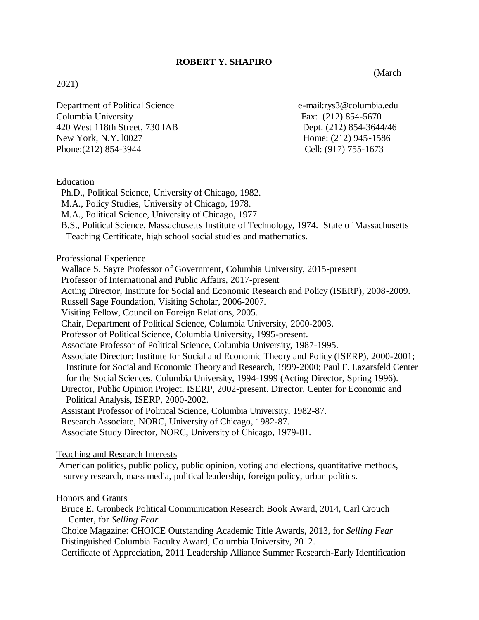## **ROBERT Y. SHAPIRO**

(March

### 2021)

Department of Political Science e-mail:rys3@columbia.edu Columbia University Fax: (212) 854-5670 420 West 118th Street, 730 IAB Dept. (212) 854-3644/46 New York, N.Y. 10027 Home: (212) 945-1586 Phone:(212) 854-3944 Cell: (917) 755-1673

#### Education

- Ph.D., Political Science, University of Chicago, 1982.
- M.A., Policy Studies, University of Chicago, 1978.
- M.A., Political Science, University of Chicago, 1977.
- B.S., Political Science, Massachusetts Institute of Technology, 1974. State of Massachusetts Teaching Certificate, high school social studies and mathematics.

Professional Experience

- Wallace S. Sayre Professor of Government, Columbia University, 2015-present
- Professor of International and Public Affairs, 2017-present
- Acting Director, Institute for Social and Economic Research and Policy (ISERP), 2008-2009.
- Russell Sage Foundation, Visiting Scholar, 2006-2007.
- Visiting Fellow, Council on Foreign Relations, 2005.
- Chair, Department of Political Science, Columbia University, 2000-2003.
- Professor of Political Science, Columbia University, 1995-present.
- Associate Professor of Political Science, Columbia University, 1987-1995.
- Associate Director: Institute for Social and Economic Theory and Policy (ISERP), 2000-2001;

 Institute for Social and Economic Theory and Research, 1999-2000; Paul F. Lazarsfeld Center for the Social Sciences, Columbia University, 1994-1999 (Acting Director, Spring 1996).

- Director, Public Opinion Project, ISERP, 2002-present. Director, Center for Economic and Political Analysis, ISERP, 2000-2002.
- Assistant Professor of Political Science, Columbia University, 1982-87.
- Research Associate, NORC, University of Chicago, 1982-87.
- Associate Study Director, NORC, University of Chicago, 1979-81.

#### Teaching and Research Interests

American politics, public policy, public opinion, voting and elections, quantitative methods, survey research, mass media, political leadership, foreign policy, urban politics.

#### Honors and Grants

- Bruce E. Gronbeck Political Communication Research Book Award, 2014, Carl Crouch Center, for *Selling Fear*
- Choice Magazine: CHOICE Outstanding Academic Title Awards, 2013, for *Selling Fear* Distinguished Columbia Faculty Award, Columbia University, 2012.
- Certificate of Appreciation, 2011 Leadership Alliance Summer Research-Early Identification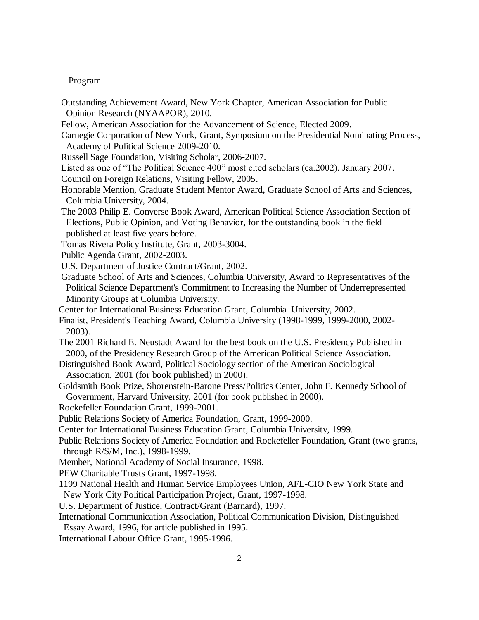Program.

- Outstanding Achievement Award, New York Chapter, American Association for Public Opinion Research (NYAAPOR), 2010.
- Fellow, American Association for the Advancement of Science, Elected 2009.
- Carnegie Corporation of New York, Grant, Symposium on the Presidential Nominating Process, Academy of Political Science 2009-2010.
- Russell Sage Foundation, Visiting Scholar, 2006-2007.
- Listed as one of "The Political Science 400" most cited scholars (ca.2002), January 2007.
- Council on Foreign Relations, Visiting Fellow, 2005.
- Honorable Mention, Graduate Student Mentor Award, Graduate School of Arts and Sciences, Columbia University, 2004.
- The 2003 Philip E. Converse Book Award, American Political Science Association Section of Elections, Public Opinion, and Voting Behavior, for the outstanding book in the field published at least five years before.
- Tomas Rivera Policy Institute, Grant, 2003-3004.
- Public Agenda Grant, 2002-2003.
- U.S. Department of Justice Contract/Grant, 2002.
- Graduate School of Arts and Sciences, Columbia University, Award to Representatives of the Political Science Department's Commitment to Increasing the Number of Underrepresented Minority Groups at Columbia University.
- Center for International Business Education Grant, Columbia University, 2002.
- Finalist, President's Teaching Award, Columbia University (1998-1999, 1999-2000, 2002- 2003).
- The 2001 Richard E. Neustadt Award for the best book on the U.S. Presidency Published in 2000, of the Presidency Research Group of the American Political Science Association.
- Distinguished Book Award, Political Sociology section of the American Sociological Association, 2001 (for book published) in 2000).
- Goldsmith Book Prize, Shorenstein-Barone Press/Politics Center, John F. Kennedy School of Government, Harvard University, 2001 (for book published in 2000).
- Rockefeller Foundation Grant, 1999-2001.
- Public Relations Society of America Foundation, Grant, 1999-2000.
- Center for International Business Education Grant, Columbia University, 1999.
- Public Relations Society of America Foundation and Rockefeller Foundation, Grant (two grants, through R/S/M, Inc.), 1998-1999.
- Member, National Academy of Social Insurance, 1998.
- PEW Charitable Trusts Grant, 1997-1998.
- 1199 National Health and Human Service Employees Union, AFL-CIO New York State and New York City Political Participation Project, Grant, 1997-1998.
- U.S. Department of Justice, Contract/Grant (Barnard), 1997.
- International Communication Association, Political Communication Division, Distinguished Essay Award, 1996, for article published in 1995.
- International Labour Office Grant, 1995-1996.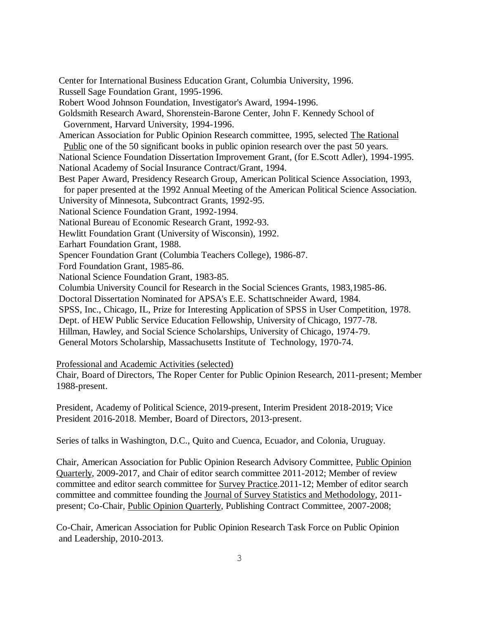Center for International Business Education Grant, Columbia University, 1996. Russell Sage Foundation Grant, 1995-1996. Robert Wood Johnson Foundation, Investigator's Award, 1994-1996. Goldsmith Research Award, Shorenstein-Barone Center, John F. Kennedy School of Government, Harvard University, 1994-1996. American Association for Public Opinion Research committee, 1995, selected The Rational Public one of the 50 significant books in public opinion research over the past 50 years. National Science Foundation Dissertation Improvement Grant, (for E.Scott Adler), 1994-1995. National Academy of Social Insurance Contract/Grant, 1994. Best Paper Award, Presidency Research Group, American Political Science Association, 1993, for paper presented at the 1992 Annual Meeting of the American Political Science Association. University of Minnesota, Subcontract Grants, 1992-95. National Science Foundation Grant, 1992-1994. National Bureau of Economic Research Grant, 1992-93. Hewlitt Foundation Grant (University of Wisconsin), 1992. Earhart Foundation Grant, 1988. Spencer Foundation Grant (Columbia Teachers College), 1986-87. Ford Foundation Grant, 1985-86. National Science Foundation Grant, 1983-85. Columbia University Council for Research in the Social Sciences Grants, 1983,1985-86. Doctoral Dissertation Nominated for APSA's E.E. Schattschneider Award, 1984. SPSS, Inc., Chicago, IL, Prize for Interesting Application of SPSS in User Competition, 1978. Dept. of HEW Public Service Education Fellowship, University of Chicago, 1977-78. Hillman, Hawley, and Social Science Scholarships, University of Chicago, 1974-79. General Motors Scholarship, Massachusetts Institute of Technology, 1970-74.

Professional and Academic Activities (selected)

Chair, Board of Directors, The Roper Center for Public Opinion Research, 2011-present; Member 1988-present.

President, Academy of Political Science, 2019-present, Interim President 2018-2019; Vice President 2016-2018. Member, Board of Directors, 2013-present.

Series of talks in Washington, D.C., Quito and Cuenca, Ecuador, and Colonia, Uruguay.

Chair, American Association for Public Opinion Research Advisory Committee, Public Opinion Quarterly, 2009-2017, and Chair of editor search committee 2011-2012; Member of review committee and editor search committee for Survey Practice.2011-12; Member of editor search committee and committee founding the Journal of Survey Statistics and Methodology, 2011 present; Co-Chair, Public Opinion Quarterly, Publishing Contract Committee, 2007-2008;

Co-Chair, American Association for Public Opinion Research Task Force on Public Opinion and Leadership, 2010-2013.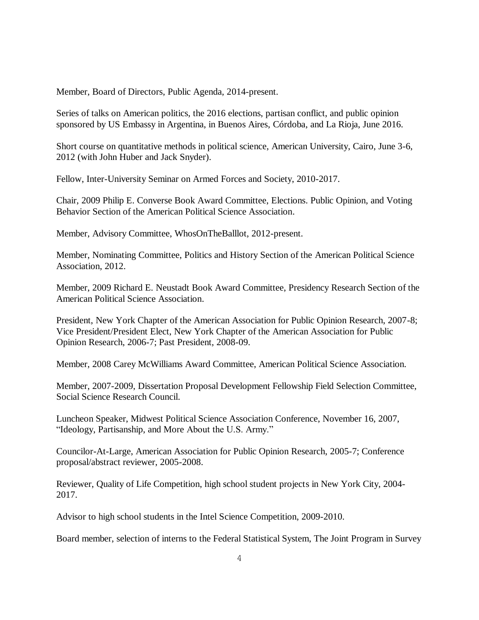Member, Board of Directors, Public Agenda, 2014-present.

Series of talks on American politics, the 2016 elections, partisan conflict, and public opinion sponsored by US Embassy in Argentina, in Buenos Aires, Córdoba, and La Rioja, June 2016.

Short course on quantitative methods in political science, American University, Cairo, June 3-6, 2012 (with John Huber and Jack Snyder).

Fellow, Inter-University Seminar on Armed Forces and Society, 2010-2017.

Chair, 2009 Philip E. Converse Book Award Committee, Elections. Public Opinion, and Voting Behavior Section of the American Political Science Association.

Member, Advisory Committee, WhosOnTheBalllot, 2012-present.

Member, Nominating Committee, Politics and History Section of the American Political Science Association, 2012.

Member, 2009 Richard E. Neustadt Book Award Committee, Presidency Research Section of the American Political Science Association.

President, New York Chapter of the American Association for Public Opinion Research, 2007-8; Vice President/President Elect, New York Chapter of the American Association for Public Opinion Research, 2006-7; Past President, 2008-09.

Member, 2008 Carey McWilliams Award Committee, American Political Science Association.

Member, 2007-2009, Dissertation Proposal Development Fellowship Field Selection Committee, Social Science Research Council.

Luncheon Speaker, Midwest Political Science Association Conference, November 16, 2007, "Ideology, Partisanship, and More About the U.S. Army."

Councilor-At-Large, American Association for Public Opinion Research, 2005-7; Conference proposal/abstract reviewer, 2005-2008.

Reviewer, Quality of Life Competition, high school student projects in New York City, 2004- 2017.

Advisor to high school students in the Intel Science Competition, 2009-2010.

Board member, selection of interns to the Federal Statistical System, The Joint Program in Survey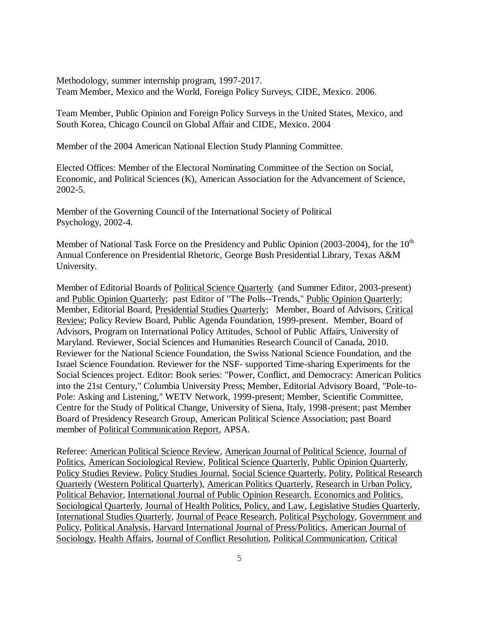Methodology, summer internship program, 1997-2017. Team Member, Mexico and the World, Foreign Policy Surveys, CIDE, Mexico. 2006.

Team Member, Public Opinion and Foreign Policy Surveys in the United States, Mexico, and South Korea, Chicago Council on Global Affair and CIDE, Mexico. 2004

Member of the 2004 American National Election Study Planning Committee.

Elected Offices: Member of the Electoral Nominating Committee of the Section on Social, Economic, and Political Sciences (K), American Association for the Advancement of Science, 2002-5.

Member of the Governing Council of the International Society of Political Psychology, 2002-4.

Member of National Task Force on the Presidency and Public Opinion (2003-2004), for the  $10<sup>th</sup>$ Annual Conference on Presidential Rhetoric, George Bush Presidential Library, Texas A&M University.

Member of Editorial Boards of Political Science Quarterly (and Summer Editor, 2003-present) and Public Opinion Quarterly; past Editor of "The Polls--Trends," Public Opinion Quarterly; Member, Editorial Board, Presidential Studies Quarterly; Member, Board of Advisors, Critical Review; Policy Review Board, Public Agenda Foundation, 1999-present. Member, Board of Advisors, Program on International Policy Attitudes, School of Public Affairs, University of Maryland. Reviewer, Social Sciences and Humanities Research Council of Canada, 2010. Reviewer for the National Science Foundation, the Swiss National Science Foundation, and the Israel Science Foundation. Reviewer for the NSF- supported Time-sharing Experiments for the Social Sciences project. Editor: Book series: "Power, Conflict, and Democracy: American Politics into the 21st Century," Columbia University Press; Member, Editorial Advisory Board, "Pole-to-Pole: Asking and Listening," WETV Network, 1999-present; Member, Scientific Committee, Centre for the Study of Political Change, University of Siena, Italy, 1998-present; past Member Board of Presidency Research Group, American Political Science Association; past Board member of Political Communication Report, APSA.

Referee: American Political Science Review, American Journal of Political Science, Journal of Politics, American Sociological Review, Political Science Quarterly, Public Opinion Quarterly, Policy Studies Review, Policy Studies Journal, Social Science Quarterly, Polity, Political Research Quarterly (Western Political Quarterly), American Politics Quarterly, Research in Urban Policy, Political Behavior, International Journal of Public Opinion Research, Economics and Politics, Sociological Quarterly, Journal of Health Politics, Policy, and Law, Legislative Studies Quarterly, International Studies Quarterly, Journal of Peace Research, Political Psychology, Government and Policy, Political Analysis, Harvard International Journal of Press/Politics, American Journal of Sociology, Health Affairs, Journal of Conflict Resolution, Political Communication, Critical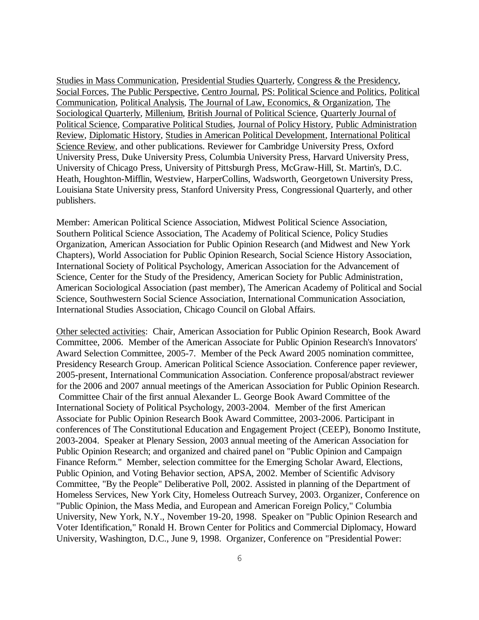Studies in Mass Communication, Presidential Studies Quarterly, Congress & the Presidency, Social Forces, The Public Perspective, Centro Journal, PS: Political Science and Politics, Political Communication, Political Analysis, The Journal of Law, Economics, & Organization, The Sociological Quarterly, Millenium, British Journal of Political Science, Quarterly Journal of Political Science, Comparative Political Studies, Journal of Policy History, Public Administration Review, Diplomatic History, Studies in American Political Development, International Political Science Review, and other publications. Reviewer for Cambridge University Press, Oxford University Press, Duke University Press, Columbia University Press, Harvard University Press, University of Chicago Press, University of Pittsburgh Press, McGraw-Hill, St. Martin's, D.C. Heath, Houghton-Mifflin, Westview, HarperCollins, Wadsworth, Georgetown University Press, Louisiana State University press, Stanford University Press, Congressional Quarterly, and other publishers.

Member: American Political Science Association, Midwest Political Science Association, Southern Political Science Association, The Academy of Political Science, Policy Studies Organization, American Association for Public Opinion Research (and Midwest and New York Chapters), World Association for Public Opinion Research, Social Science History Association, International Society of Political Psychology, American Association for the Advancement of Science, Center for the Study of the Presidency, American Society for Public Administration, American Sociological Association (past member), The American Academy of Political and Social Science, Southwestern Social Science Association, International Communication Association, International Studies Association, Chicago Council on Global Affairs.

Other selected activities: Chair, American Association for Public Opinion Research, Book Award Committee, 2006. Member of the American Associate for Public Opinion Research's Innovators' Award Selection Committee, 2005-7. Member of the Peck Award 2005 nomination committee, Presidency Research Group. American Political Science Association. Conference paper reviewer, 2005-present, International Communication Association. Conference proposal/abstract reviewer for the 2006 and 2007 annual meetings of the American Association for Public Opinion Research. Committee Chair of the first annual Alexander L. George Book Award Committee of the International Society of Political Psychology, 2003-2004. Member of the first American Associate for Public Opinion Research Book Award Committee, 2003-2006. Participant in conferences of The Constitutional Education and Engagement Project (CEEP), Bonomo Institute, 2003-2004. Speaker at Plenary Session, 2003 annual meeting of the American Association for Public Opinion Research; and organized and chaired panel on "Public Opinion and Campaign Finance Reform." Member, selection committee for the Emerging Scholar Award, Elections, Public Opinion, and Voting Behavior section, APSA, 2002. Member of Scientific Advisory Committee, "By the People" Deliberative Poll, 2002. Assisted in planning of the Department of Homeless Services, New York City, Homeless Outreach Survey, 2003. Organizer, Conference on "Public Opinion, the Mass Media, and European and American Foreign Policy," Columbia University, New York, N.Y., November 19-20, 1998. Speaker on "Public Opinion Research and Voter Identification," Ronald H. Brown Center for Politics and Commercial Diplomacy, Howard University, Washington, D.C., June 9, 1998. Organizer, Conference on "Presidential Power: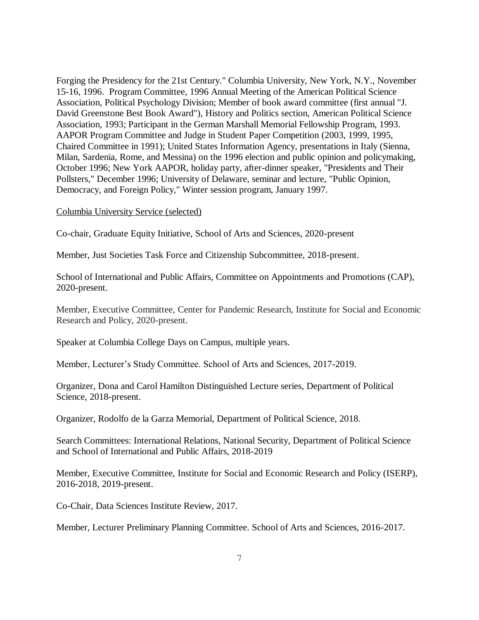Forging the Presidency for the 21st Century." Columbia University, New York, N.Y., November 15-16, 1996. Program Committee, 1996 Annual Meeting of the American Political Science Association, Political Psychology Division; Member of book award committee (first annual "J. David Greenstone Best Book Award"), History and Politics section, American Political Science Association, 1993; Participant in the German Marshall Memorial Fellowship Program, 1993. AAPOR Program Committee and Judge in Student Paper Competition (2003, 1999, 1995, Chaired Committee in 1991); United States Information Agency, presentations in Italy (Sienna, Milan, Sardenia, Rome, and Messina) on the 1996 election and public opinion and policymaking, October 1996; New York AAPOR, holiday party, after-dinner speaker, "Presidents and Their Pollsters," December 1996; University of Delaware, seminar and lecture, "Public Opinion, Democracy, and Foreign Policy," Winter session program, January 1997.

### Columbia University Service (selected)

Co-chair, Graduate Equity Initiative, School of Arts and Sciences, 2020-present

Member, Just Societies Task Force and Citizenship Subcommittee, 2018-present.

School of International and Public Affairs, Committee on Appointments and Promotions (CAP), 2020-present.

Member, Executive Committee, Center for Pandemic Research, Institute for Social and Economic Research and Policy, 2020-present.

Speaker at Columbia College Days on Campus, multiple years.

Member, Lecturer's Study Committee. School of Arts and Sciences, 2017-2019.

Organizer, Dona and Carol Hamilton Distinguished Lecture series, Department of Political Science, 2018-present.

Organizer, Rodolfo de la Garza Memorial, Department of Political Science, 2018.

Search Committees: International Relations, National Security, Department of Political Science and School of International and Public Affairs, 2018-2019

Member, Executive Committee, Institute for Social and Economic Research and Policy (ISERP), 2016-2018, 2019-present.

Co-Chair, Data Sciences Institute Review, 2017.

Member, Lecturer Preliminary Planning Committee. School of Arts and Sciences, 2016-2017.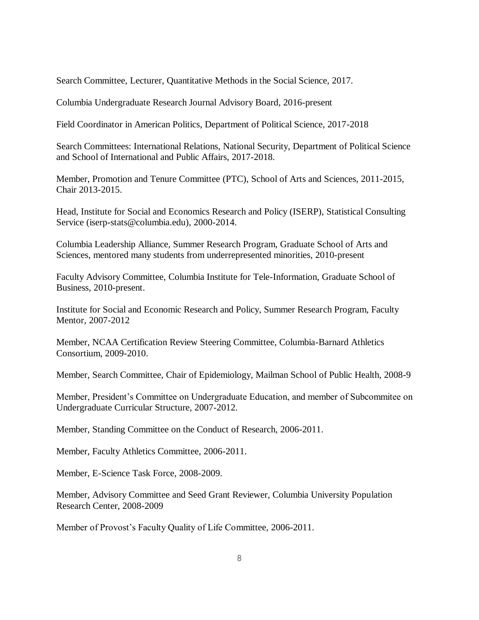Search Committee, Lecturer, Quantitative Methods in the Social Science, 2017.

Columbia Undergraduate Research Journal Advisory Board, 2016-present

Field Coordinator in American Politics, Department of Political Science, 2017-2018

Search Committees: International Relations, National Security, Department of Political Science and School of International and Public Affairs, 2017-2018.

Member, Promotion and Tenure Committee (PTC), School of Arts and Sciences, 2011-2015, Chair 2013-2015.

Head, Institute for Social and Economics Research and Policy (ISERP), Statistical Consulting Service (iserp-stats@columbia.edu), 2000-2014.

Columbia Leadership Alliance, Summer Research Program, Graduate School of Arts and Sciences, mentored many students from underrepresented minorities, 2010-present

Faculty Advisory Committee, Columbia Institute for Tele-Information, Graduate School of Business, 2010-present.

Institute for Social and Economic Research and Policy, Summer Research Program, Faculty Mentor, 2007-2012

Member, NCAA Certification Review Steering Committee, Columbia-Barnard Athletics Consortium, 2009-2010.

Member, Search Committee, Chair of Epidemiology, Mailman School of Public Health, 2008-9

Member, President's Committee on Undergraduate Education, and member of Subcommitee on Undergraduate Curricular Structure, 2007-2012.

Member, Standing Committee on the Conduct of Research, 2006-2011.

Member, Faculty Athletics Committee, 2006-2011.

Member, E-Science Task Force, 2008-2009.

Member, Advisory Committee and Seed Grant Reviewer, Columbia University Population Research Center, 2008-2009

Member of Provost's Faculty Quality of Life Committee, 2006-2011.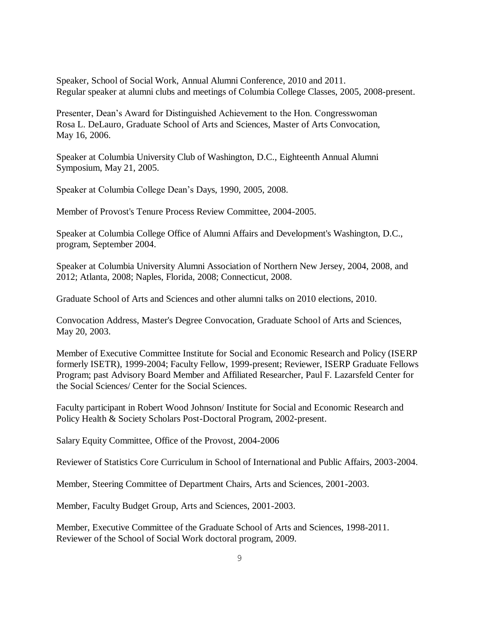Speaker, School of Social Work, Annual Alumni Conference, 2010 and 2011. Regular speaker at alumni clubs and meetings of Columbia College Classes, 2005, 2008-present.

Presenter, Dean's Award for Distinguished Achievement to the Hon. Congresswoman Rosa L. DeLauro, Graduate School of Arts and Sciences, Master of Arts Convocation, May 16, 2006.

Speaker at Columbia University Club of Washington, D.C., Eighteenth Annual Alumni Symposium, May 21, 2005.

Speaker at Columbia College Dean's Days, 1990, 2005, 2008.

Member of Provost's Tenure Process Review Committee, 2004-2005.

Speaker at Columbia College Office of Alumni Affairs and Development's Washington, D.C., program, September 2004.

Speaker at Columbia University Alumni Association of Northern New Jersey, 2004, 2008, and 2012; Atlanta, 2008; Naples, Florida, 2008; Connecticut, 2008.

Graduate School of Arts and Sciences and other alumni talks on 2010 elections, 2010.

Convocation Address, Master's Degree Convocation, Graduate School of Arts and Sciences, May 20, 2003.

Member of Executive Committee Institute for Social and Economic Research and Policy (ISERP formerly ISETR), 1999-2004; Faculty Fellow, 1999-present; Reviewer, ISERP Graduate Fellows Program; past Advisory Board Member and Affiliated Researcher, Paul F. Lazarsfeld Center for the Social Sciences/ Center for the Social Sciences.

Faculty participant in Robert Wood Johnson/ Institute for Social and Economic Research and Policy Health & Society Scholars Post-Doctoral Program, 2002-present.

Salary Equity Committee, Office of the Provost, 2004-2006

Reviewer of Statistics Core Curriculum in School of International and Public Affairs, 2003-2004.

Member, Steering Committee of Department Chairs, Arts and Sciences, 2001-2003.

Member, Faculty Budget Group, Arts and Sciences, 2001-2003.

Member, Executive Committee of the Graduate School of Arts and Sciences, 1998-2011. Reviewer of the School of Social Work doctoral program, 2009.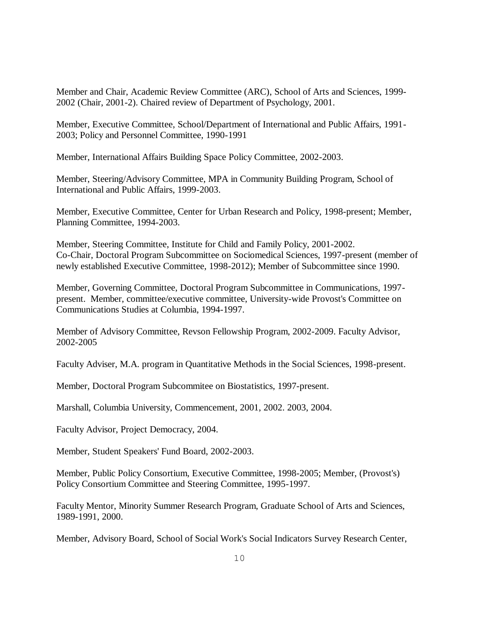Member and Chair, Academic Review Committee (ARC), School of Arts and Sciences, 1999- 2002 (Chair, 2001-2). Chaired review of Department of Psychology, 2001.

Member, Executive Committee, School/Department of International and Public Affairs, 1991- 2003; Policy and Personnel Committee, 1990-1991

Member, International Affairs Building Space Policy Committee, 2002-2003.

Member, Steering/Advisory Committee, MPA in Community Building Program, School of International and Public Affairs, 1999-2003.

Member, Executive Committee, Center for Urban Research and Policy, 1998-present; Member, Planning Committee, 1994-2003.

Member, Steering Committee, Institute for Child and Family Policy, 2001-2002. Co-Chair, Doctoral Program Subcommittee on Sociomedical Sciences, 1997-present (member of newly established Executive Committee, 1998-2012); Member of Subcommittee since 1990.

Member, Governing Committee, Doctoral Program Subcommittee in Communications, 1997 present. Member, committee/executive committee, University-wide Provost's Committee on Communications Studies at Columbia, 1994-1997.

Member of Advisory Committee, Revson Fellowship Program, 2002-2009. Faculty Advisor, 2002-2005

Faculty Adviser, M.A. program in Quantitative Methods in the Social Sciences, 1998-present.

Member, Doctoral Program Subcommitee on Biostatistics, 1997-present.

Marshall, Columbia University, Commencement, 2001, 2002. 2003, 2004.

Faculty Advisor, Project Democracy, 2004.

Member, Student Speakers' Fund Board, 2002-2003.

Member, Public Policy Consortium, Executive Committee, 1998-2005; Member, (Provost's) Policy Consortium Committee and Steering Committee, 1995-1997.

Faculty Mentor, Minority Summer Research Program, Graduate School of Arts and Sciences, 1989-1991, 2000.

Member, Advisory Board, School of Social Work's Social Indicators Survey Research Center,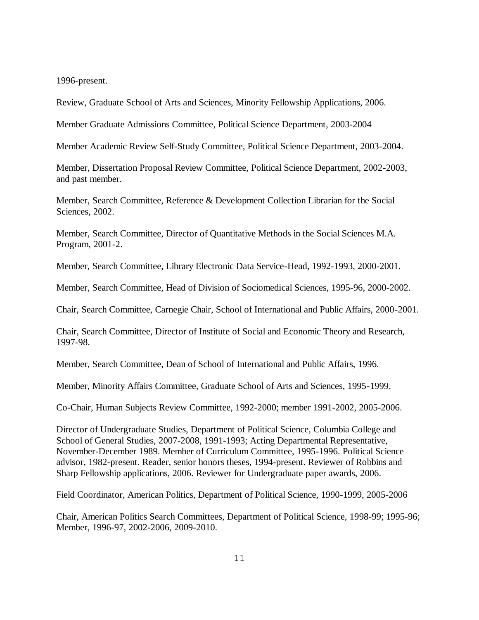1996-present.

Review, Graduate School of Arts and Sciences, Minority Fellowship Applications, 2006.

Member Graduate Admissions Committee, Political Science Department, 2003-2004

Member Academic Review Self-Study Committee, Political Science Department, 2003-2004.

Member, Dissertation Proposal Review Committee, Political Science Department, 2002-2003, and past member.

Member, Search Committee, Reference & Development Collection Librarian for the Social Sciences, 2002.

Member, Search Committee, Director of Quantitative Methods in the Social Sciences M.A. Program, 2001-2.

Member, Search Committee, Library Electronic Data Service-Head, 1992-1993, 2000-2001.

Member, Search Committee, Head of Division of Sociomedical Sciences, 1995-96, 2000-2002.

Chair, Search Committee, Carnegie Chair, School of International and Public Affairs, 2000-2001.

Chair, Search Committee, Director of Institute of Social and Economic Theory and Research, 1997-98.

Member, Search Committee, Dean of School of International and Public Affairs, 1996.

Member, Minority Affairs Committee, Graduate School of Arts and Sciences, 1995-1999.

Co-Chair, Human Subjects Review Committee, 1992-2000; member 1991-2002, 2005-2006.

Director of Undergraduate Studies, Department of Political Science, Columbia College and School of General Studies, 2007-2008, 1991-1993; Acting Departmental Representative, November-December 1989. Member of Curriculum Committee, 1995-1996. Political Science advisor, 1982-present. Reader, senior honors theses, 1994-present. Reviewer of Robbins and Sharp Fellowship applications, 2006. Reviewer for Undergraduate paper awards, 2006.

Field Coordinator, American Politics, Department of Political Science, 1990-1999, 2005-2006

Chair, American Politics Search Committees, Department of Political Science, 1998-99; 1995-96; Member, 1996-97, 2002-2006, 2009-2010.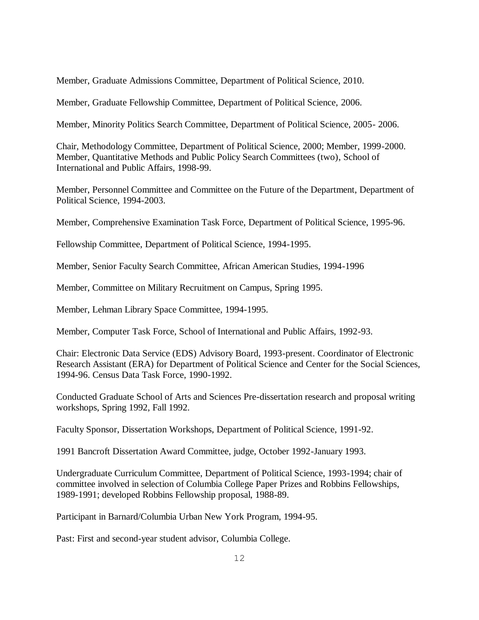Member, Graduate Admissions Committee, Department of Political Science, 2010.

Member, Graduate Fellowship Committee, Department of Political Science, 2006.

Member, Minority Politics Search Committee, Department of Political Science, 2005- 2006.

Chair, Methodology Committee, Department of Political Science, 2000; Member, 1999-2000. Member, Quantitative Methods and Public Policy Search Committees (two), School of International and Public Affairs, 1998-99.

Member, Personnel Committee and Committee on the Future of the Department, Department of Political Science, 1994-2003.

Member, Comprehensive Examination Task Force, Department of Political Science, 1995-96.

Fellowship Committee, Department of Political Science, 1994-1995.

Member, Senior Faculty Search Committee, African American Studies, 1994-1996

Member, Committee on Military Recruitment on Campus, Spring 1995.

Member, Lehman Library Space Committee, 1994-1995.

Member, Computer Task Force, School of International and Public Affairs, 1992-93.

Chair: Electronic Data Service (EDS) Advisory Board, 1993-present. Coordinator of Electronic Research Assistant (ERA) for Department of Political Science and Center for the Social Sciences, 1994-96. Census Data Task Force, 1990-1992.

Conducted Graduate School of Arts and Sciences Pre-dissertation research and proposal writing workshops, Spring 1992, Fall 1992.

Faculty Sponsor, Dissertation Workshops, Department of Political Science, 1991-92.

1991 Bancroft Dissertation Award Committee, judge, October 1992-January 1993.

Undergraduate Curriculum Committee, Department of Political Science, 1993-1994; chair of committee involved in selection of Columbia College Paper Prizes and Robbins Fellowships, 1989-1991; developed Robbins Fellowship proposal, 1988-89.

Participant in Barnard/Columbia Urban New York Program, 1994-95.

Past: First and second-year student advisor, Columbia College.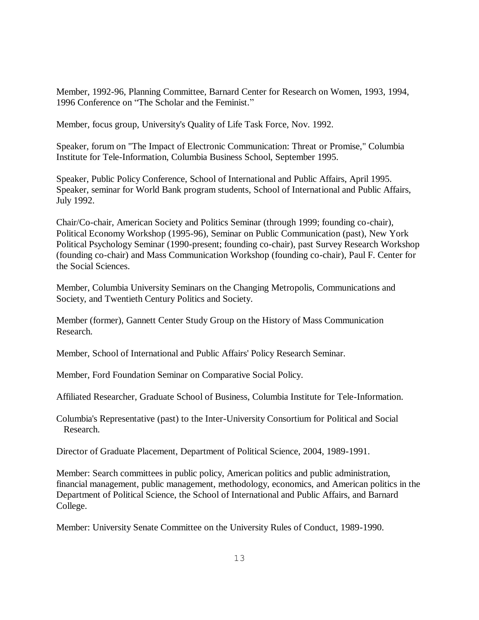Member, 1992-96, Planning Committee, Barnard Center for Research on Women, 1993, 1994, 1996 Conference on "The Scholar and the Feminist."

Member, focus group, University's Quality of Life Task Force, Nov. 1992.

Speaker, forum on "The Impact of Electronic Communication: Threat or Promise," Columbia Institute for Tele-Information, Columbia Business School, September 1995.

Speaker, Public Policy Conference, School of International and Public Affairs, April 1995. Speaker, seminar for World Bank program students, School of International and Public Affairs, July 1992.

Chair/Co-chair, American Society and Politics Seminar (through 1999; founding co-chair), Political Economy Workshop (1995-96), Seminar on Public Communication (past), New York Political Psychology Seminar (1990-present; founding co-chair), past Survey Research Workshop (founding co-chair) and Mass Communication Workshop (founding co-chair), Paul F. Center for the Social Sciences.

Member, Columbia University Seminars on the Changing Metropolis, Communications and Society, and Twentieth Century Politics and Society.

Member (former), Gannett Center Study Group on the History of Mass Communication Research.

Member, School of International and Public Affairs' Policy Research Seminar.

Member, Ford Foundation Seminar on Comparative Social Policy.

Affiliated Researcher, Graduate School of Business, Columbia Institute for Tele-Information.

Columbia's Representative (past) to the Inter-University Consortium for Political and Social Research.

Director of Graduate Placement, Department of Political Science, 2004, 1989-1991.

Member: Search committees in public policy, American politics and public administration, financial management, public management, methodology, economics, and American politics in the Department of Political Science, the School of International and Public Affairs, and Barnard College.

Member: University Senate Committee on the University Rules of Conduct, 1989-1990.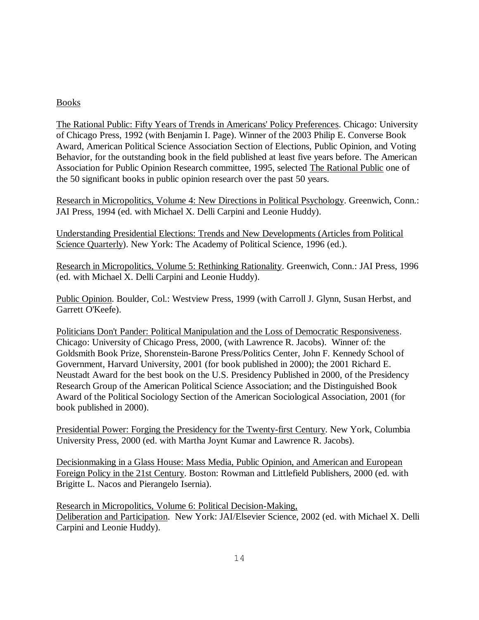# Books

The Rational Public: Fifty Years of Trends in Americans' Policy Preferences. Chicago: University of Chicago Press, 1992 (with Benjamin I. Page). Winner of the 2003 Philip E. Converse Book Award, American Political Science Association Section of Elections, Public Opinion, and Voting Behavior, for the outstanding book in the field published at least five years before. The American Association for Public Opinion Research committee, 1995, selected The Rational Public one of the 50 significant books in public opinion research over the past 50 years.

Research in Micropolitics, Volume 4: New Directions in Political Psychology. Greenwich, Conn.: JAI Press, 1994 (ed. with Michael X. Delli Carpini and Leonie Huddy).

Understanding Presidential Elections: Trends and New Developments (Articles from Political Science Quarterly). New York: The Academy of Political Science, 1996 (ed.).

Research in Micropolitics, Volume 5: Rethinking Rationality. Greenwich, Conn.: JAI Press, 1996 (ed. with Michael X. Delli Carpini and Leonie Huddy).

Public Opinion. Boulder, Col.: Westview Press, 1999 (with Carroll J. Glynn, Susan Herbst, and Garrett O'Keefe).

Politicians Don't Pander: Political Manipulation and the Loss of Democratic Responsiveness. Chicago: University of Chicago Press, 2000, (with Lawrence R. Jacobs). Winner of: the Goldsmith Book Prize, Shorenstein-Barone Press/Politics Center, John F. Kennedy School of Government, Harvard University, 2001 (for book published in 2000); the 2001 Richard E. Neustadt Award for the best book on the U.S. Presidency Published in 2000, of the Presidency Research Group of the American Political Science Association; and the Distinguished Book Award of the Political Sociology Section of the American Sociological Association, 2001 (for book published in 2000).

Presidential Power: Forging the Presidency for the Twenty-first Century. New York, Columbia University Press, 2000 (ed. with Martha Joynt Kumar and Lawrence R. Jacobs).

Decisionmaking in a Glass House: Mass Media, Public Opinion, and American and European Foreign Policy in the 21st Century. Boston: Rowman and Littlefield Publishers, 2000 (ed. with Brigitte L. Nacos and Pierangelo Isernia).

Research in Micropolitics, Volume 6: Political Decision-Making, Deliberation and Participation. New York: JAI/Elsevier Science, 2002 (ed. with Michael X. Delli Carpini and Leonie Huddy).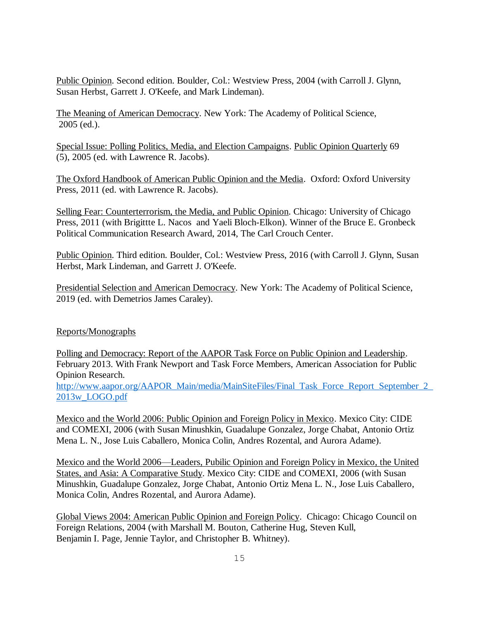Public Opinion. Second edition. Boulder, Col.: Westview Press, 2004 (with Carroll J. Glynn, Susan Herbst, Garrett J. O'Keefe, and Mark Lindeman).

The Meaning of American Democracy. New York: The Academy of Political Science, 2005 (ed.).

Special Issue: Polling Politics, Media, and Election Campaigns. Public Opinion Quarterly 69 (5), 2005 (ed. with Lawrence R. Jacobs).

The Oxford Handbook of American Public Opinion and the Media. Oxford: Oxford University Press, 2011 (ed. with Lawrence R. Jacobs).

Selling Fear: Counterterrorism, the Media, and Public Opinion. Chicago: University of Chicago Press, 2011 (with Brigittte L. Nacos and Yaeli Bloch-Elkon). Winner of the Bruce E. Gronbeck Political Communication Research Award, 2014, The Carl Crouch Center.

Public Opinion. Third edition. Boulder, Col.: Westview Press, 2016 (with Carroll J. Glynn, Susan Herbst, Mark Lindeman, and Garrett J. O'Keefe.

Presidential Selection and American Democracy. New York: The Academy of Political Science, 2019 (ed. with Demetrios James Caraley).

# Reports/Monographs

Polling and Democracy: Report of the AAPOR Task Force on Public Opinion and Leadership. February 2013. With Frank Newport and Task Force Members, American Association for Public Opinion Research.

[http://www.aapor.org/AAPOR\\_Main/media/MainSiteFiles/Final\\_Task\\_Force\\_Report\\_September\\_2\\_](http://www.aapor.org/AAPOR_Main/media/MainSiteFiles/Final_Task_Force_Report_September_2_2013w_LOGO.pdf) [2013w\\_LOGO.pdf](http://www.aapor.org/AAPOR_Main/media/MainSiteFiles/Final_Task_Force_Report_September_2_2013w_LOGO.pdf)

Mexico and the World 2006: Public Opinion and Foreign Policy in Mexico. Mexico City: CIDE and COMEXI, 2006 (with Susan Minushkin, Guadalupe Gonzalez, Jorge Chabat, Antonio Ortiz Mena L. N., Jose Luis Caballero, Monica Colin, Andres Rozental, and Aurora Adame).

Mexico and the World 2006—Leaders, Pubilic Opinion and Foreign Policy in Mexico, the United States, and Asia: A Comparative Study. Mexico City: CIDE and COMEXI, 2006 (with Susan Minushkin, Guadalupe Gonzalez, Jorge Chabat, Antonio Ortiz Mena L. N., Jose Luis Caballero, Monica Colin, Andres Rozental, and Aurora Adame).

Global Views 2004: American Public Opinion and Foreign Policy. Chicago: Chicago Council on Foreign Relations, 2004 (with Marshall M. Bouton, Catherine Hug, Steven Kull, Benjamin I. Page, Jennie Taylor, and Christopher B. Whitney).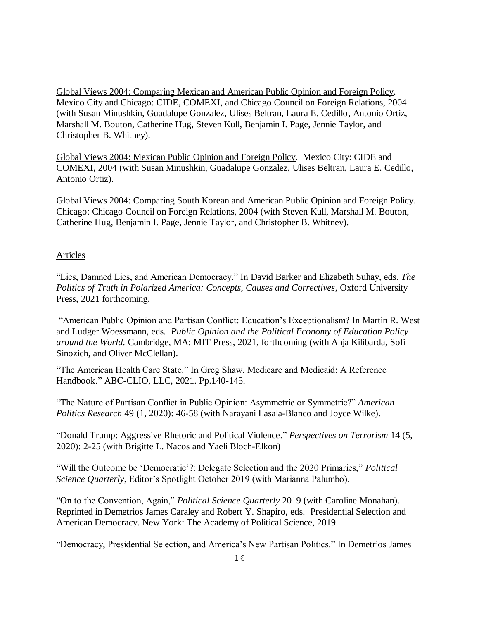Global Views 2004: Comparing Mexican and American Public Opinion and Foreign Policy. Mexico City and Chicago: CIDE, COMEXI, and Chicago Council on Foreign Relations, 2004 (with Susan Minushkin, Guadalupe Gonzalez, Ulises Beltran, Laura E. Cedillo, Antonio Ortiz, Marshall M. Bouton, Catherine Hug, Steven Kull, Benjamin I. Page, Jennie Taylor, and Christopher B. Whitney).

Global Views 2004: Mexican Public Opinion and Foreign Policy. Mexico City: CIDE and COMEXI, 2004 (with Susan Minushkin, Guadalupe Gonzalez, Ulises Beltran, Laura E. Cedillo, Antonio Ortiz).

Global Views 2004: Comparing South Korean and American Public Opinion and Foreign Policy. Chicago: Chicago Council on Foreign Relations, 2004 (with Steven Kull, Marshall M. Bouton, Catherine Hug, Benjamin I. Page, Jennie Taylor, and Christopher B. Whitney).

## Articles

"Lies, Damned Lies, and American Democracy." In David Barker and Elizabeth Suhay, eds. *The Politics of Truth in Polarized America: Concepts, Causes and Correctives*, Oxford University Press, 2021 forthcoming.

"American Public Opinion and Partisan Conflict: Education's Exceptionalism? In Martin R. West and Ludger Woessmann, eds*. Public Opinion and the Political Economy of Education Policy around the World.* Cambridge, MA: MIT Press, 2021, forthcoming (with Anja Kilibarda, Sofi Sinozich, and Oliver McClellan).

"The American Health Care State." In Greg Shaw, Medicare and Medicaid: A Reference Handbook." ABC-CLIO, LLC, 2021. Pp.140-145.

"The Nature of Partisan Conflict in Public Opinion: Asymmetric or Symmetric?" *American Politics Research* 49 (1, 2020): 46-58 (with Narayani Lasala-Blanco and Joyce Wilke).

"Donald Trump: Aggressive Rhetoric and Political Violence." *Perspectives on Terrorism* 14 (5, 2020): 2-25 (with Brigitte L. Nacos and Yaeli Bloch-Elkon)

"Will the Outcome be 'Democratic'?: Delegate Selection and the 2020 Primaries," *Political Science Quarterly*, Editor's Spotlight October 2019 (with Marianna Palumbo).

"On to the Convention, Again," *Political Science Quarterly* 2019 (with Caroline Monahan). Reprinted in Demetrios James Caraley and Robert Y. Shapiro, eds. Presidential Selection and American Democracy. New York: The Academy of Political Science, 2019.

"Democracy, Presidential Selection, and America's New Partisan Politics." In Demetrios James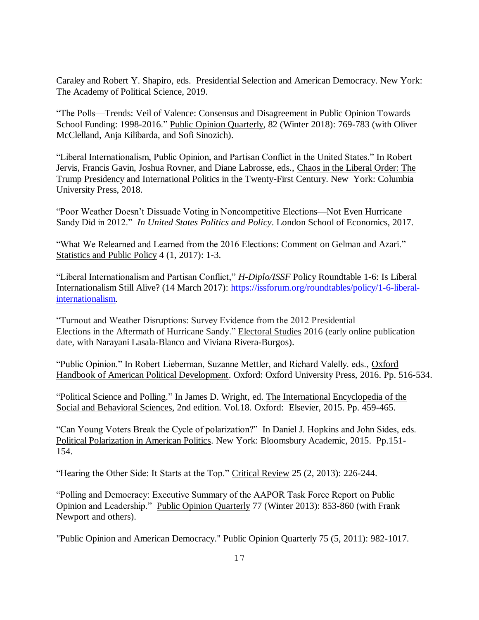Caraley and Robert Y. Shapiro, eds. Presidential Selection and American Democracy. New York: The Academy of Political Science, 2019.

"The Polls—Trends: Veil of Valence: Consensus and Disagreement in Public Opinion Towards School Funding: 1998-2016." Public Opinion Quarterly, 82 (Winter 2018): 769-783 (with Oliver McClelland, Anja Kilibarda, and Sofi Sinozich).

"Liberal Internationalism, Public Opinion, and Partisan Conflict in the United States." In Robert Jervis, Francis Gavin, Joshua Rovner, and Diane Labrosse, eds., Chaos in the Liberal Order: The Trump Presidency and International Politics in the Twenty-First Century. New York: Columbia University Press, 2018.

"Poor Weather Doesn't Dissuade Voting in Noncompetitive Elections—Not Even Hurricane Sandy Did in 2012." *In United States Politics and Policy*. London School of Economics, 2017.

"What We Relearned and Learned from the 2016 Elections: Comment on Gelman and Azari." Statistics and Public Policy 4 (1, 2017): 1-3.

"Liberal Internationalism and Partisan Conflict," *H-Diplo/ISSF* Policy Roundtable 1-6: Is Liberal Internationalism Still Alive? (14 March 2017): [https://issforum.org/roundtables/policy/1-6-liberal](https://issforum.org/roundtables/policy/1-6-liberal-internationalism)[internationalism](https://issforum.org/roundtables/policy/1-6-liberal-internationalism).

"Turnout and Weather Disruptions: Survey Evidence from the 2012 Presidential Elections in the Aftermath of Hurricane Sandy." Electoral Studies 2016 (early online publication date, with Narayani Lasala-Blanco and Viviana Rivera-Burgos).

"Public Opinion." In Robert Lieberman, Suzanne Mettler, and Richard Valelly. eds., Oxford Handbook of American Political Development. Oxford: Oxford University Press, 2016. Pp. 516-534.

"Political Science and Polling." In James D. Wright, ed. The International Encyclopedia of the Social and Behavioral Sciences, 2nd edition. Vol.18. Oxford: Elsevier, 2015. Pp. 459-465.

"Can Young Voters Break the Cycle of polarization?" In Daniel J. Hopkins and John Sides, eds. Political Polarization in American Politics. New York: Bloomsbury Academic, 2015. Pp.151- 154.

"Hearing the Other Side: It Starts at the Top." Critical Review 25 (2, 2013): 226-244.

"Polling and Democracy: Executive Summary of the AAPOR Task Force Report on Public Opinion and Leadership." Public Opinion Quarterly 77 (Winter 2013): 853-860 (with Frank Newport and others).

"Public Opinion and American Democracy." Public Opinion Quarterly 75 (5, 2011): 982-1017.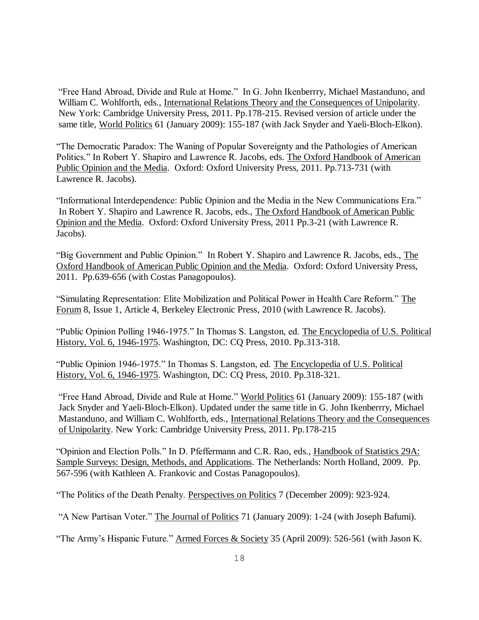"Free Hand Abroad, Divide and Rule at Home." In G. John Ikenberrry, Michael Mastanduno, and William C. Wohlforth, eds., International Relations Theory and the Consequences of Unipolarity. New York: Cambridge University Press, 2011. Pp.178-215. Revised version of article under the same title, World Politics 61 (January 2009): 155-187 (with Jack Snyder and Yaeli-Bloch-Elkon).

"The Democratic Paradox: The Waning of Popular Sovereignty and the Pathologies of American Politics." In Robert Y. Shapiro and Lawrence R. Jacobs, eds. The Oxford Handbook of American Public Opinion and the Media. Oxford: Oxford University Press, 2011. Pp.713-731 (with Lawrence R. Jacobs).

"Informational Interdependence: Public Opinion and the Media in the New Communications Era." In Robert Y. Shapiro and Lawrence R. Jacobs, eds., The Oxford Handbook of American Public Opinion and the Media. Oxford: Oxford University Press, 2011 Pp.3-21 (with Lawrence R. Jacobs).

"Big Government and Public Opinion." In Robert Y. Shapiro and Lawrence R. Jacobs, eds., The Oxford Handbook of American Public Opinion and the Media. Oxford: Oxford University Press, 2011. Pp.639-656 (with Costas Panagopoulos).

"Simulating Representation: Elite Mobilization and Political Power in Health Care Reform." The Forum 8, Issue 1, Article 4, Berkeley Electronic Press, 2010 (with Lawrence R. Jacobs).

"Public Opinion Polling 1946-1975." In Thomas S. Langston, ed. The Encyclopedia of U.S. Political History, Vol. 6, 1946-1975. Washington, DC: CQ Press, 2010. Pp.313-318.

"Public Opinion 1946-1975." In Thomas S. Langston, ed. The Encyclopedia of U.S. Political History, Vol. 6, 1946-1975. Washington, DC: CQ Press, 2010. Pp.318-321.

"Free Hand Abroad, Divide and Rule at Home." World Politics 61 (January 2009): 155-187 (with Jack Snyder and Yaeli-Bloch-Elkon). Updated under the same title in G. John Ikenberrry, Michael Mastanduno, and William C. Wohlforth, eds., International Relations Theory and the Consequences of Unipolarity. New York: Cambridge University Press, 2011. Pp.178-215

"Opinion and Election Polls." In D. Pfeffermann and C.R. Rao, eds., Handbook of Statistics 29A: Sample Surveys: Design, Methods, and Applications. The Netherlands: North Holland, 2009. Pp. 567-596 (with Kathleen A. Frankovic and Costas Panagopoulos).

"The Politics of the Death Penalty. Perspectives on Politics 7 (December 2009): 923-924.

"A New Partisan Voter." The Journal of Politics 71 (January 2009): 1-24 (with Joseph Bafumi).

"The Army's Hispanic Future." Armed Forces & Society 35 (April 2009): 526-561 (with Jason K.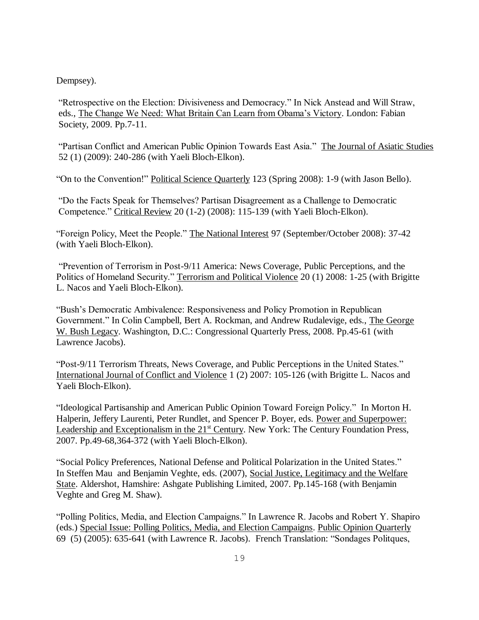Dempsey).

"Retrospective on the Election: Divisiveness and Democracy." In Nick Anstead and Will Straw, eds., The Change We Need: What Britain Can Learn from Obama's Victory. London: Fabian Society, 2009. Pp.7-11.

"Partisan Conflict and American Public Opinion Towards East Asia." The Journal of Asiatic Studies 52 (1) (2009): 240-286 (with Yaeli Bloch-Elkon).

"On to the Convention!" Political Science Quarterly 123 (Spring 2008): 1-9 (with Jason Bello).

"Do the Facts Speak for Themselves? Partisan Disagreement as a Challenge to Democratic Competence." Critical Review 20 (1-2) (2008): 115-139 (with Yaeli Bloch-Elkon).

"Foreign Policy, Meet the People." The National Interest 97 (September/October 2008): 37-42 (with Yaeli Bloch-Elkon).

"Prevention of Terrorism in Post-9/11 America: News Coverage, Public Perceptions, and the Politics of Homeland Security." Terrorism and Political Violence 20 (1) 2008: 1-25 (with Brigitte L. Nacos and Yaeli Bloch-Elkon).

"Bush's Democratic Ambivalence: Responsiveness and Policy Promotion in Republican Government." In Colin Campbell, Bert A. Rockman, and Andrew Rudalevige, eds., The George W. Bush Legacy. Washington, D.C.: Congressional Quarterly Press, 2008. Pp.45-61 (with Lawrence Jacobs).

"Post-9/11 Terrorism Threats, News Coverage, and Public Perceptions in the United States." International Journal of Conflict and Violence 1 (2) 2007: 105-126 (with Brigitte L. Nacos and Yaeli Bloch-Elkon).

"Ideological Partisanship and American Public Opinion Toward Foreign Policy." In Morton H. Halperin, Jeffery Laurenti, Peter Rundlet, and Spencer P. Boyer, eds. Power and Superpower: Leadership and Exceptionalism in the  $21<sup>st</sup>$  Century. New York: The Century Foundation Press, 2007. Pp.49-68,364-372 (with Yaeli Bloch-Elkon).

"Social Policy Preferences, National Defense and Political Polarization in the United States." In Steffen Mau and Benjamin Veghte, eds. (2007), Social Justice, Legitimacy and the Welfare State. Aldershot, Hamshire: Ashgate Publishing Limited, 2007. Pp.145-168 (with Benjamin Veghte and Greg M. Shaw).

"Polling Politics, Media, and Election Campaigns." In Lawrence R. Jacobs and Robert Y. Shapiro (eds.) Special Issue: Polling Politics, Media, and Election Campaigns. Public Opinion Quarterly 69 (5) (2005): 635-641 (with Lawrence R. Jacobs). French Translation: "Sondages Politques,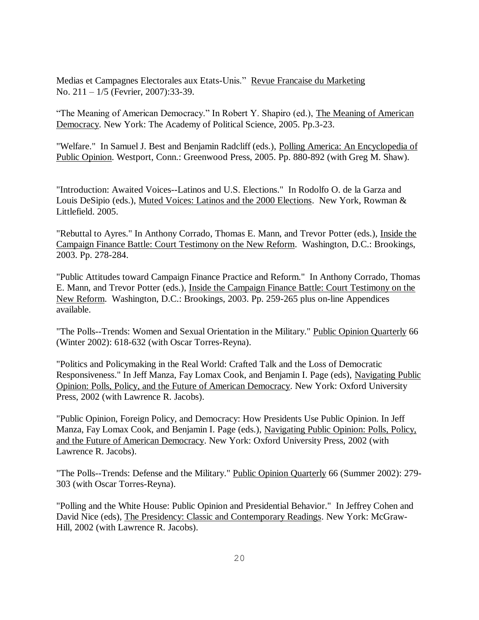Medias et Campagnes Electorales aux Etats-Unis." Revue Francaise du Marketing No. 211 – 1/5 (Fevrier, 2007):33-39.

"The Meaning of American Democracy." In Robert Y. Shapiro (ed.), The Meaning of American Democracy. New York: The Academy of Political Science, 2005. Pp.3-23.

"Welfare." In Samuel J. Best and Benjamin Radcliff (eds.), Polling America: An Encyclopedia of Public Opinion. Westport, Conn.: Greenwood Press, 2005. Pp. 880-892 (with Greg M. Shaw).

"Introduction: Awaited Voices--Latinos and U.S. Elections." In Rodolfo O. de la Garza and Louis DeSipio (eds.), Muted Voices: Latinos and the 2000 Elections. New York, Rowman & Littlefield. 2005.

"Rebuttal to Ayres." In Anthony Corrado, Thomas E. Mann, and Trevor Potter (eds.), Inside the Campaign Finance Battle: Court Testimony on the New Reform. Washington, D.C.: Brookings, 2003. Pp. 278-284.

"Public Attitudes toward Campaign Finance Practice and Reform." In Anthony Corrado, Thomas E. Mann, and Trevor Potter (eds.), Inside the Campaign Finance Battle: Court Testimony on the New Reform. Washington, D.C.: Brookings, 2003. Pp. 259-265 plus on-line Appendices available.

"The Polls--Trends: Women and Sexual Orientation in the Military." Public Opinion Quarterly 66 (Winter 2002): 618-632 (with Oscar Torres-Reyna).

"Politics and Policymaking in the Real World: Crafted Talk and the Loss of Democratic Responsiveness." In Jeff Manza, Fay Lomax Cook, and Benjamin I. Page (eds), Navigating Public Opinion: Polls, Policy, and the Future of American Democracy. New York: Oxford University Press, 2002 (with Lawrence R. Jacobs).

"Public Opinion, Foreign Policy, and Democracy: How Presidents Use Public Opinion. In Jeff Manza, Fay Lomax Cook, and Benjamin I. Page (eds.), Navigating Public Opinion: Polls, Policy, and the Future of American Democracy. New York: Oxford University Press, 2002 (with Lawrence R. Jacobs).

"The Polls--Trends: Defense and the Military." Public Opinion Quarterly 66 (Summer 2002): 279-303 (with Oscar Torres-Reyna).

"Polling and the White House: Public Opinion and Presidential Behavior." In Jeffrey Cohen and David Nice (eds), The Presidency: Classic and Contemporary Readings. New York: McGraw-Hill, 2002 (with Lawrence R. Jacobs).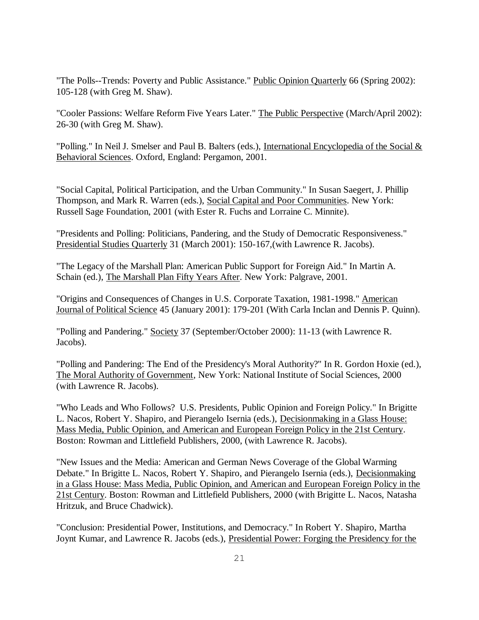"The Polls--Trends: Poverty and Public Assistance." Public Opinion Quarterly 66 (Spring 2002): 105-128 (with Greg M. Shaw).

"Cooler Passions: Welfare Reform Five Years Later." The Public Perspective (March/April 2002): 26-30 (with Greg M. Shaw).

"Polling." In Neil J. Smelser and Paul B. Balters (eds.), International Encyclopedia of the Social & Behavioral Sciences. Oxford, England: Pergamon, 2001.

"Social Capital, Political Participation, and the Urban Community." In Susan Saegert, J. Phillip Thompson, and Mark R. Warren (eds.), Social Capital and Poor Communities. New York: Russell Sage Foundation, 2001 (with Ester R. Fuchs and Lorraine C. Minnite).

"Presidents and Polling: Politicians, Pandering, and the Study of Democratic Responsiveness." Presidential Studies Quarterly 31 (March 2001): 150-167,(with Lawrence R. Jacobs).

"The Legacy of the Marshall Plan: American Public Support for Foreign Aid." In Martin A. Schain (ed.), The Marshall Plan Fifty Years After. New York: Palgrave, 2001.

"Origins and Consequences of Changes in U.S. Corporate Taxation, 1981-1998." American Journal of Political Science 45 (January 2001): 179-201 (With Carla Inclan and Dennis P. Quinn).

"Polling and Pandering." Society 37 (September/October 2000): 11-13 (with Lawrence R. Jacobs).

"Polling and Pandering: The End of the Presidency's Moral Authority?" In R. Gordon Hoxie (ed.), The Moral Authority of Government, New York: National Institute of Social Sciences, 2000 (with Lawrence R. Jacobs).

"Who Leads and Who Follows? U.S. Presidents, Public Opinion and Foreign Policy." In Brigitte L. Nacos, Robert Y. Shapiro, and Pierangelo Isernia (eds.), Decisionmaking in a Glass House: Mass Media, Public Opinion, and American and European Foreign Policy in the 21st Century. Boston: Rowman and Littlefield Publishers, 2000, (with Lawrence R. Jacobs).

"New Issues and the Media: American and German News Coverage of the Global Warming Debate." In Brigitte L. Nacos, Robert Y. Shapiro, and Pierangelo Isernia (eds.), Decisionmaking in a Glass House: Mass Media, Public Opinion, and American and European Foreign Policy in the 21st Century. Boston: Rowman and Littlefield Publishers, 2000 (with Brigitte L. Nacos, Natasha Hritzuk, and Bruce Chadwick).

"Conclusion: Presidential Power, Institutions, and Democracy." In Robert Y. Shapiro, Martha Joynt Kumar, and Lawrence R. Jacobs (eds.), Presidential Power: Forging the Presidency for the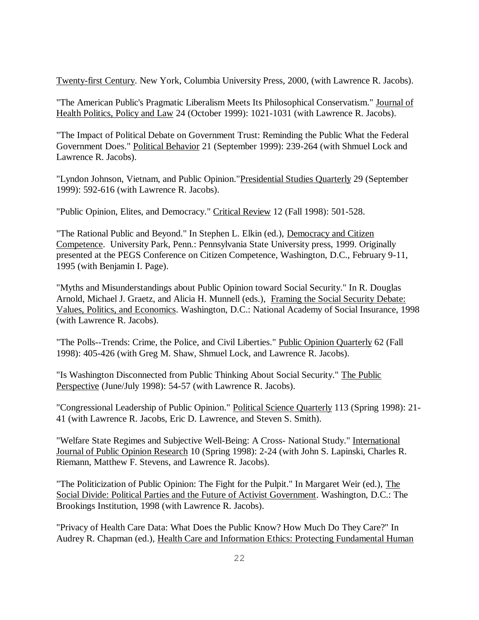Twenty-first Century. New York, Columbia University Press, 2000, (with Lawrence R. Jacobs).

"The American Public's Pragmatic Liberalism Meets Its Philosophical Conservatism." Journal of Health Politics, Policy and Law 24 (October 1999): 1021-1031 (with Lawrence R. Jacobs).

"The Impact of Political Debate on Government Trust: Reminding the Public What the Federal Government Does." Political Behavior 21 (September 1999): 239-264 (with Shmuel Lock and Lawrence R. Jacobs).

"Lyndon Johnson, Vietnam, and Public Opinion."Presidential Studies Quarterly 29 (September 1999): 592-616 (with Lawrence R. Jacobs).

"Public Opinion, Elites, and Democracy." Critical Review 12 (Fall 1998): 501-528.

"The Rational Public and Beyond." In Stephen L. Elkin (ed.), Democracy and Citizen Competence. University Park, Penn.: Pennsylvania State University press, 1999. Originally presented at the PEGS Conference on Citizen Competence, Washington, D.C., February 9-11, 1995 (with Benjamin I. Page).

"Myths and Misunderstandings about Public Opinion toward Social Security." In R. Douglas Arnold, Michael J. Graetz, and Alicia H. Munnell (eds.), Framing the Social Security Debate: Values, Politics, and Economics. Washington, D.C.: National Academy of Social Insurance, 1998 (with Lawrence R. Jacobs).

"The Polls--Trends: Crime, the Police, and Civil Liberties." Public Opinion Quarterly 62 (Fall 1998): 405-426 (with Greg M. Shaw, Shmuel Lock, and Lawrence R. Jacobs).

"Is Washington Disconnected from Public Thinking About Social Security." The Public Perspective (June/July 1998): 54-57 (with Lawrence R. Jacobs).

"Congressional Leadership of Public Opinion." Political Science Quarterly 113 (Spring 1998): 21-41 (with Lawrence R. Jacobs, Eric D. Lawrence, and Steven S. Smith).

"Welfare State Regimes and Subjective Well-Being: A Cross- National Study." International Journal of Public Opinion Research 10 (Spring 1998): 2-24 (with John S. Lapinski, Charles R. Riemann, Matthew F. Stevens, and Lawrence R. Jacobs).

"The Politicization of Public Opinion: The Fight for the Pulpit." In Margaret Weir (ed.), The Social Divide: Political Parties and the Future of Activist Government. Washington, D.C.: The Brookings Institution, 1998 (with Lawrence R. Jacobs).

"Privacy of Health Care Data: What Does the Public Know? How Much Do They Care?" In Audrey R. Chapman (ed.), Health Care and Information Ethics: Protecting Fundamental Human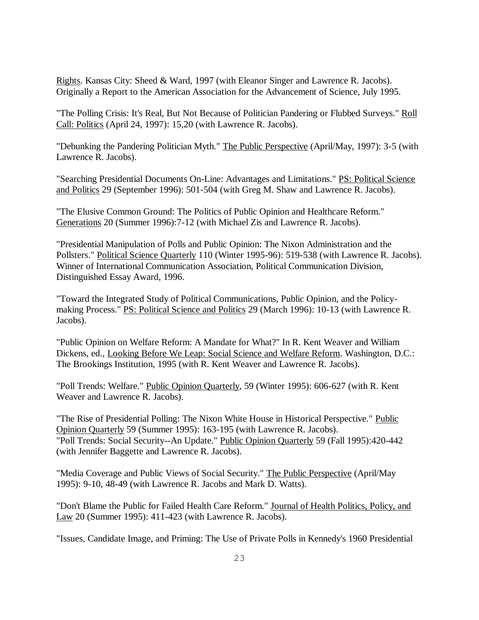Rights. Kansas City: Sheed & Ward, 1997 (with Eleanor Singer and Lawrence R. Jacobs). Originally a Report to the American Association for the Advancement of Science, July 1995.

"The Polling Crisis: It's Real, But Not Because of Politician Pandering or Flubbed Surveys." Roll Call: Politics (April 24, 1997): 15,20 (with Lawrence R. Jacobs).

"Debunking the Pandering Politician Myth." The Public Perspective (April/May, 1997): 3-5 (with Lawrence R. Jacobs).

"Searching Presidential Documents On-Line: Advantages and Limitations." PS: Political Science and Politics 29 (September 1996): 501-504 (with Greg M. Shaw and Lawrence R. Jacobs).

"The Elusive Common Ground: The Politics of Public Opinion and Healthcare Reform." Generations 20 (Summer 1996):7-12 (with Michael Zis and Lawrence R. Jacobs).

"Presidential Manipulation of Polls and Public Opinion: The Nixon Administration and the Pollsters." Political Science Quarterly 110 (Winter 1995-96): 519-538 (with Lawrence R. Jacobs). Winner of International Communication Association, Political Communication Division, Distinguished Essay Award, 1996.

"Toward the Integrated Study of Political Communications, Public Opinion, and the Policymaking Process." PS: Political Science and Politics 29 (March 1996): 10-13 (with Lawrence R. Jacobs).

"Public Opinion on Welfare Reform: A Mandate for What?" In R. Kent Weaver and William Dickens, ed., Looking Before We Leap: Social Science and Welfare Reform. Washington, D.C.: The Brookings Institution, 1995 (with R. Kent Weaver and Lawrence R. Jacobs).

"Poll Trends: Welfare." Public Opinion Quarterly, 59 (Winter 1995): 606-627 (with R. Kent Weaver and Lawrence R. Jacobs).

"The Rise of Presidential Polling: The Nixon White House in Historical Perspective." Public Opinion Quarterly 59 (Summer 1995): 163-195 (with Lawrence R. Jacobs). "Poll Trends: Social Security--An Update." Public Opinion Quarterly 59 (Fall 1995):420-442 (with Jennifer Baggette and Lawrence R. Jacobs).

"Media Coverage and Public Views of Social Security." The Public Perspective (April/May 1995): 9-10, 48-49 (with Lawrence R. Jacobs and Mark D. Watts).

"Don't Blame the Public for Failed Health Care Reform." Journal of Health Politics, Policy, and Law 20 (Summer 1995): 411-423 (with Lawrence R. Jacobs).

"Issues, Candidate Image, and Priming: The Use of Private Polls in Kennedy's 1960 Presidential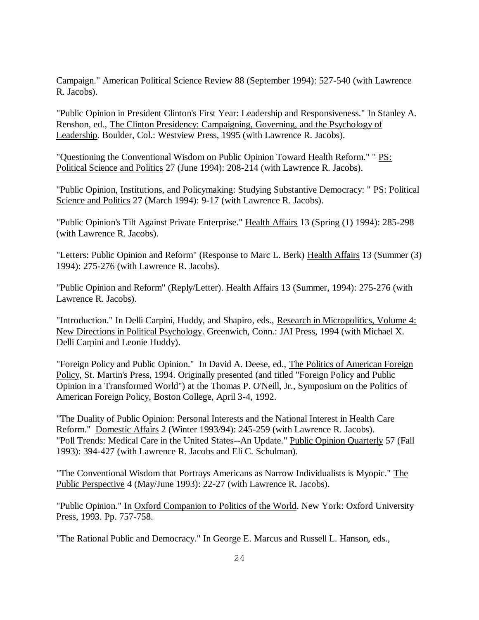Campaign." American Political Science Review 88 (September 1994): 527-540 (with Lawrence R. Jacobs).

"Public Opinion in President Clinton's First Year: Leadership and Responsiveness." In Stanley A. Renshon, ed., The Clinton Presidency: Campaigning, Governing, and the Psychology of Leadership. Boulder, Col.: Westview Press, 1995 (with Lawrence R. Jacobs).

"Questioning the Conventional Wisdom on Public Opinion Toward Health Reform." " PS: Political Science and Politics 27 (June 1994): 208-214 (with Lawrence R. Jacobs).

"Public Opinion, Institutions, and Policymaking: Studying Substantive Democracy: " PS: Political Science and Politics 27 (March 1994): 9-17 (with Lawrence R. Jacobs).

"Public Opinion's Tilt Against Private Enterprise." Health Affairs 13 (Spring (1) 1994): 285-298 (with Lawrence R. Jacobs).

"Letters: Public Opinion and Reform" (Response to Marc L. Berk) Health Affairs 13 (Summer (3) 1994): 275-276 (with Lawrence R. Jacobs).

"Public Opinion and Reform" (Reply/Letter). Health Affairs 13 (Summer, 1994): 275-276 (with Lawrence R. Jacobs).

"Introduction." In Delli Carpini, Huddy, and Shapiro, eds., Research in Micropolitics, Volume 4: New Directions in Political Psychology. Greenwich, Conn.: JAI Press, 1994 (with Michael X. Delli Carpini and Leonie Huddy).

"Foreign Policy and Public Opinion." In David A. Deese, ed., The Politics of American Foreign Policy, St. Martin's Press, 1994. Originally presented (and titled "Foreign Policy and Public Opinion in a Transformed World") at the Thomas P. O'Neill, Jr., Symposium on the Politics of American Foreign Policy, Boston College, April 3-4, 1992.

"The Duality of Public Opinion: Personal Interests and the National Interest in Health Care Reform." Domestic Affairs 2 (Winter 1993/94): 245-259 (with Lawrence R. Jacobs). "Poll Trends: Medical Care in the United States--An Update." Public Opinion Quarterly 57 (Fall 1993): 394-427 (with Lawrence R. Jacobs and Eli C. Schulman).

"The Conventional Wisdom that Portrays Americans as Narrow Individualists is Myopic." The Public Perspective 4 (May/June 1993): 22-27 (with Lawrence R. Jacobs).

"Public Opinion." In Oxford Companion to Politics of the World. New York: Oxford University Press, 1993. Pp. 757-758.

"The Rational Public and Democracy." In George E. Marcus and Russell L. Hanson, eds.,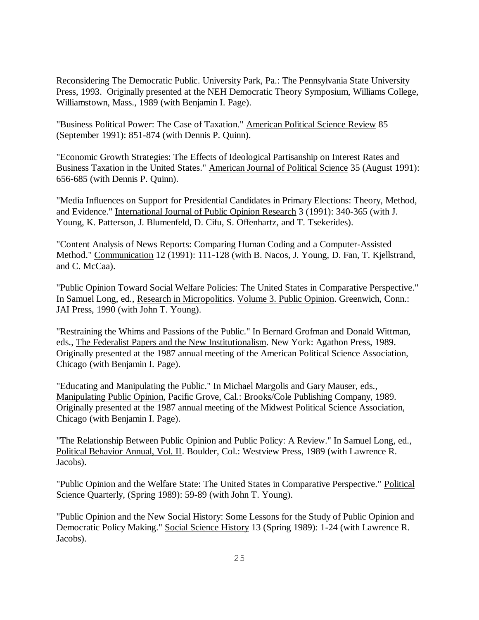Reconsidering The Democratic Public. University Park, Pa.: The Pennsylvania State University Press, 1993. Originally presented at the NEH Democratic Theory Symposium, Williams College, Williamstown, Mass., 1989 (with Benjamin I. Page).

"Business Political Power: The Case of Taxation." American Political Science Review 85 (September 1991): 851-874 (with Dennis P. Quinn).

"Economic Growth Strategies: The Effects of Ideological Partisanship on Interest Rates and Business Taxation in the United States." American Journal of Political Science 35 (August 1991): 656-685 (with Dennis P. Quinn).

"Media Influences on Support for Presidential Candidates in Primary Elections: Theory, Method, and Evidence." International Journal of Public Opinion Research 3 (1991): 340-365 (with J. Young, K. Patterson, J. Blumenfeld, D. Cifu, S. Offenhartz, and T. Tsekerides).

"Content Analysis of News Reports: Comparing Human Coding and a Computer-Assisted Method." Communication 12 (1991): 111-128 (with B. Nacos, J. Young, D. Fan, T. Kjellstrand, and C. McCaa).

"Public Opinion Toward Social Welfare Policies: The United States in Comparative Perspective." In Samuel Long, ed., Research in Micropolitics. Volume 3. Public Opinion. Greenwich, Conn.: JAI Press, 1990 (with John T. Young).

"Restraining the Whims and Passions of the Public." In Bernard Grofman and Donald Wittman, eds., The Federalist Papers and the New Institutionalism. New York: Agathon Press, 1989. Originally presented at the 1987 annual meeting of the American Political Science Association, Chicago (with Benjamin I. Page).

"Educating and Manipulating the Public." In Michael Margolis and Gary Mauser, eds., Manipulating Public Opinion, Pacific Grove, Cal.: Brooks/Cole Publishing Company, 1989. Originally presented at the 1987 annual meeting of the Midwest Political Science Association, Chicago (with Benjamin I. Page).

"The Relationship Between Public Opinion and Public Policy: A Review." In Samuel Long, ed., Political Behavior Annual, Vol. II. Boulder, Col.: Westview Press, 1989 (with Lawrence R. Jacobs).

"Public Opinion and the Welfare State: The United States in Comparative Perspective." Political Science Quarterly, (Spring 1989): 59-89 (with John T. Young).

"Public Opinion and the New Social History: Some Lessons for the Study of Public Opinion and Democratic Policy Making." Social Science History 13 (Spring 1989): 1-24 (with Lawrence R. Jacobs).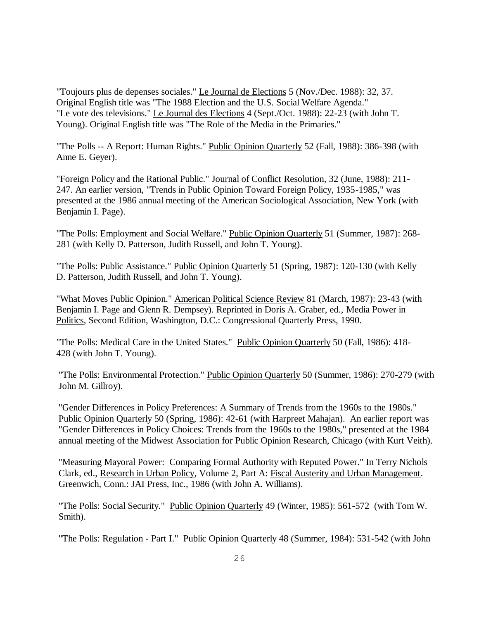"Toujours plus de depenses sociales." Le Journal de Elections 5 (Nov./Dec. 1988): 32, 37. Original English title was "The 1988 Election and the U.S. Social Welfare Agenda." "Le vote des televisions." Le Journal des Elections 4 (Sept./Oct. 1988): 22-23 (with John T. Young). Original English title was "The Role of the Media in the Primaries."

"The Polls -- A Report: Human Rights." Public Opinion Quarterly 52 (Fall, 1988): 386-398 (with Anne E. Geyer).

"Foreign Policy and the Rational Public." Journal of Conflict Resolution, 32 (June, 1988): 211- 247. An earlier version, "Trends in Public Opinion Toward Foreign Policy, 1935-1985," was presented at the 1986 annual meeting of the American Sociological Association, New York (with Benjamin I. Page).

"The Polls: Employment and Social Welfare." Public Opinion Quarterly 51 (Summer, 1987): 268- 281 (with Kelly D. Patterson, Judith Russell, and John T. Young).

"The Polls: Public Assistance." Public Opinion Quarterly 51 (Spring, 1987): 120-130 (with Kelly D. Patterson, Judith Russell, and John T. Young).

"What Moves Public Opinion." American Political Science Review 81 (March, 1987): 23-43 (with Benjamin I. Page and Glenn R. Dempsey). Reprinted in Doris A. Graber, ed., Media Power in Politics, Second Edition, Washington, D.C.: Congressional Quarterly Press, 1990.

"The Polls: Medical Care in the United States." Public Opinion Quarterly 50 (Fall, 1986): 418- 428 (with John T. Young).

"The Polls: Environmental Protection." Public Opinion Quarterly 50 (Summer, 1986): 270-279 (with John M. Gillroy).

"Gender Differences in Policy Preferences: A Summary of Trends from the 1960s to the 1980s." Public Opinion Quarterly 50 (Spring, 1986): 42-61 (with Harpreet Mahajan). An earlier report was "Gender Differences in Policy Choices: Trends from the 1960s to the 1980s," presented at the 1984 annual meeting of the Midwest Association for Public Opinion Research, Chicago (with Kurt Veith).

"Measuring Mayoral Power: Comparing Formal Authority with Reputed Power." In Terry Nichols Clark, ed., Research in Urban Policy, Volume 2, Part A: Fiscal Austerity and Urban Management. Greenwich, Conn.: JAI Press, Inc., 1986 (with John A. Williams).

"The Polls: Social Security." Public Opinion Quarterly 49 (Winter, 1985): 561-572 (with Tom W. Smith).

"The Polls: Regulation - Part I." Public Opinion Quarterly 48 (Summer, 1984): 531-542 (with John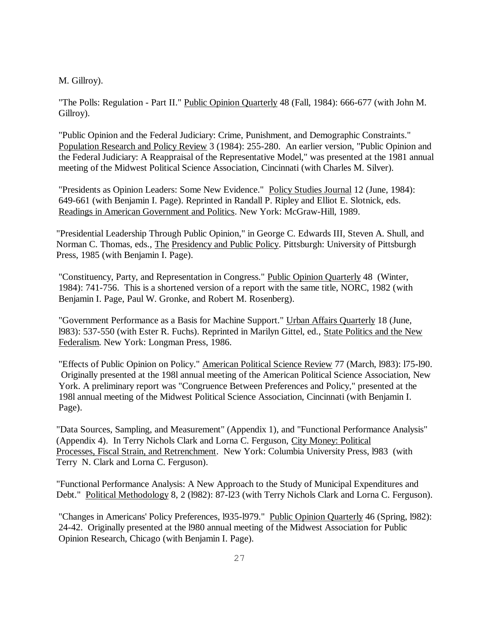M. Gillroy).

"The Polls: Regulation - Part II." Public Opinion Quarterly 48 (Fall, 1984): 666-677 (with John M. Gillroy).

"Public Opinion and the Federal Judiciary: Crime, Punishment, and Demographic Constraints." Population Research and Policy Review 3 (1984): 255-280. An earlier version, "Public Opinion and the Federal Judiciary: A Reappraisal of the Representative Model," was presented at the 1981 annual meeting of the Midwest Political Science Association, Cincinnati (with Charles M. Silver).

"Presidents as Opinion Leaders: Some New Evidence." Policy Studies Journal 12 (June, 1984): 649-661 (with Benjamin I. Page). Reprinted in Randall P. Ripley and Elliot E. Slotnick, eds. Readings in American Government and Politics. New York: McGraw-Hill, 1989.

"Presidential Leadership Through Public Opinion," in George C. Edwards III, Steven A. Shull, and Norman C. Thomas, eds., The Presidency and Public Policy. Pittsburgh: University of Pittsburgh Press, 1985 (with Benjamin I. Page).

"Constituency, Party, and Representation in Congress." Public Opinion Quarterly 48 (Winter, 1984): 741-756. This is a shortened version of a report with the same title, NORC, 1982 (with Benjamin I. Page, Paul W. Gronke, and Robert M. Rosenberg).

"Government Performance as a Basis for Machine Support." Urban Affairs Quarterly 18 (June, l983): 537-550 (with Ester R. Fuchs). Reprinted in Marilyn Gittel, ed., State Politics and the New Federalism. New York: Longman Press, 1986.

"Effects of Public Opinion on Policy." American Political Science Review 77 (March, l983): l75-l90. Originally presented at the 198l annual meeting of the American Political Science Association, New York. A preliminary report was "Congruence Between Preferences and Policy," presented at the 198l annual meeting of the Midwest Political Science Association, Cincinnati (with Benjamin I. Page).

"Data Sources, Sampling, and Measurement" (Appendix 1), and "Functional Performance Analysis" (Appendix 4). In Terry Nichols Clark and Lorna C. Ferguson, City Money: Political Processes, Fiscal Strain, and Retrenchment. New York: Columbia University Press, l983 (with Terry N. Clark and Lorna C. Ferguson).

"Functional Performance Analysis: A New Approach to the Study of Municipal Expenditures and Debt." Political Methodology 8, 2 (l982): 87-l23 (with Terry Nichols Clark and Lorna C. Ferguson).

"Changes in Americans' Policy Preferences, 1935-1979." Public Opinion Quarterly 46 (Spring, 1982): 24-42. Originally presented at the l980 annual meeting of the Midwest Association for Public Opinion Research, Chicago (with Benjamin I. Page).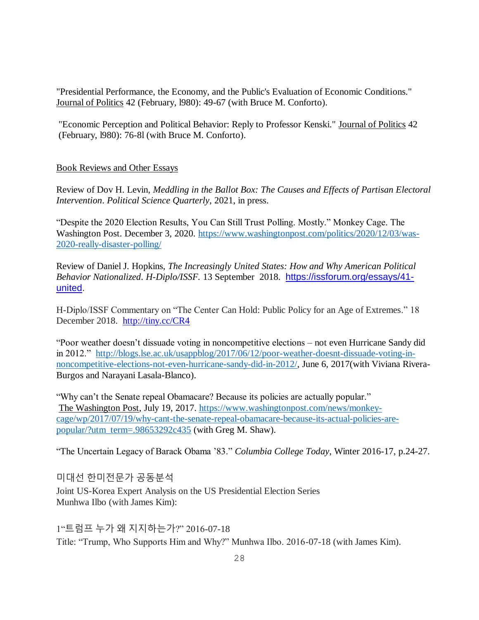"Presidential Performance, the Economy, and the Public's Evaluation of Economic Conditions." Journal of Politics 42 (February, l980): 49-67 (with Bruce M. Conforto).

"Economic Perception and Political Behavior: Reply to Professor Kenski." Journal of Politics 42 (February, l980): 76-8l (with Bruce M. Conforto).

# Book Reviews and Other Essays

Review of Dov H. Levin, *Meddling in the Ballot Box: The Causes and Effects of Partisan Electoral Intervention*. *Political Science Quarterly*, 2021, in press.

"Despite the 2020 Election Results, You Can Still Trust Polling. Mostly." Monkey Cage. The Washington Post. December 3, 2020. [https://www.washingtonpost.com/politics/2020/12/03/was-](https://www.washingtonpost.com/politics/2020/12/03/was-2020-really-disaster-polling/)[2020-really-disaster-polling/](https://www.washingtonpost.com/politics/2020/12/03/was-2020-really-disaster-polling/)

Review of Daniel J. Hopkins, *The Increasingly United States: How and Why American Political Behavior Nationalized*. *H-Diplo/ISSF.* 13 September 2018. [https://issforum.org/essays/41](https://issforum.org/essays/41-united) [united.](https://issforum.org/essays/41-united)

H-Diplo/ISSF Commentary on "The Center Can Hold: Public Policy for an Age of Extremes." 18 December 2018. <http://tiny.cc/CR4>

"Poor weather doesn't dissuade voting in noncompetitive elections – not even Hurricane Sandy did in 2012." [http://blogs.lse.ac.uk/usappblog/2017/06/12/poor-weather-doesnt-dissuade-voting-in](http://blogs.lse.ac.uk/usappblog/2017/06/12/poor-weather-doesnt-dissuade-voting-in-noncompetitive-elections-not-even-hurricane-sandy-did-in-2012/)[noncompetitive-elections-not-even-hurricane-sandy-did-in-2012/,](http://blogs.lse.ac.uk/usappblog/2017/06/12/poor-weather-doesnt-dissuade-voting-in-noncompetitive-elections-not-even-hurricane-sandy-did-in-2012/) June 6, 2017(with Viviana Rivera-Burgos and Narayani Lasala-Blanco).

"Why can't the Senate repeal Obamacare? Because its policies are actually popular." The Washington Post, July 19, 2017. [https://www.washingtonpost.com/news/monkey](https://www.washingtonpost.com/news/monkey-cage/wp/2017/07/19/why-cant-the-senate-repeal-obamacare-because-its-actual-policies-are-popular/?utm_term=.98653292c435)[cage/wp/2017/07/19/why-cant-the-senate-repeal-obamacare-because-its-actual-policies-are](https://www.washingtonpost.com/news/monkey-cage/wp/2017/07/19/why-cant-the-senate-repeal-obamacare-because-its-actual-policies-are-popular/?utm_term=.98653292c435)[popular/?utm\\_term=.98653292c435](https://www.washingtonpost.com/news/monkey-cage/wp/2017/07/19/why-cant-the-senate-repeal-obamacare-because-its-actual-policies-are-popular/?utm_term=.98653292c435) (with Greg M. Shaw).

"The Uncertain Legacy of Barack Obama '83." *Columbia College Today*, Winter 2016-17, p.24-27.

미대선 한미전문가 공동분석

Joint US-Korea Expert Analysis on the US Presidential Election Series Munhwa Ilbo (with James Kim):

1"트럼프 누가 왜 지지하는가?" 2016-07-18 Title: "Trump, Who Supports Him and Why?" Munhwa Ilbo. 2016-07-18 (with James Kim).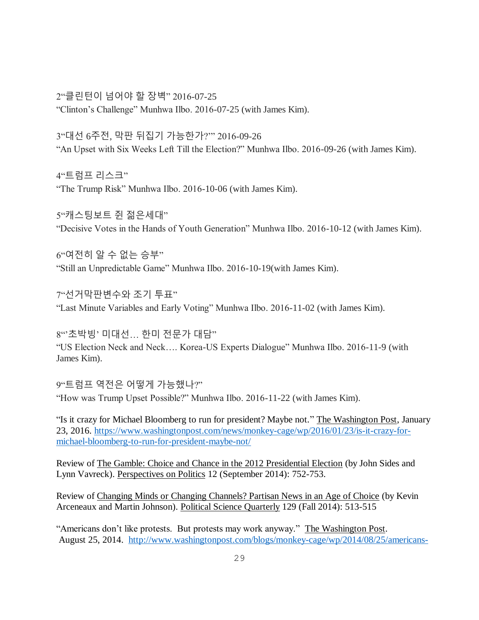2"클린턴이 넘어야 할 장벽" 2016-07-25 "Clinton's Challenge" Munhwa Ilbo. 2016-07-25 (with James Kim).

3"대선 6주전, 막판 뒤집기 가능한가?'" 2016-09-26 "An Upset with Six Weeks Left Till the Election?" Munhwa Ilbo. 2016-09-26 (with James Kim).

4"트럼프 리스크" "The Trump Risk" Munhwa Ilbo. 2016-10-06 (with James Kim).

5"캐스팅보트 쥔 젊은세대" "Decisive Votes in the Hands of Youth Generation" Munhwa Ilbo. 2016-10-12 (with James Kim).

 $6"$ 여전히 알 수 없는 승부" "Still an Unpredictable Game" Munhwa Ilbo. 2016-10-19(with James Kim).

7"선거막판변수와 조기 투표" "Last Minute Variables and Early Voting" Munhwa Ilbo. 2016-11-02 (with James Kim).

 $8$ " $2$   $\pm$  박빙' 미대선... 한미 전문가 대담" "US Election Neck and Neck…. Korea-US Experts Dialogue" Munhwa Ilbo. 2016-11-9 (with James Kim).

9"트럼프 역전은 어떻게 가능했나?" "How was Trump Upset Possible?" Munhwa Ilbo. 2016-11-22 (with James Kim).

"Is it crazy for Michael Bloomberg to run for president? Maybe not." The Washington Post, January 23, 2016. [https://www.washingtonpost.com/news/monkey-cage/wp/2016/01/23/is-it-crazy-for](https://www.washingtonpost.com/news/monkey-cage/wp/2016/01/23/is-it-crazy-for-michael-bloomberg-to-run-for-president-maybe-not/)[michael-bloomberg-to-run-for-president-maybe-not/](https://www.washingtonpost.com/news/monkey-cage/wp/2016/01/23/is-it-crazy-for-michael-bloomberg-to-run-for-president-maybe-not/)

Review of The Gamble: Choice and Chance in the 2012 Presidential Election (by John Sides and Lynn Vavreck). Perspectives on Politics 12 (September 2014): 752-753.

Review of Changing Minds or Changing Channels? Partisan News in an Age of Choice (by Kevin Arceneaux and Martin Johnson). Political Science Quarterly 129 (Fall 2014): 513-515

"Americans don't like protests. But protests may work anyway." The Washington Post. August 25, 2014. [http://www.washingtonpost.com/blogs/monkey-cage/wp/2014/08/25/americans-](http://www.washingtonpost.com/blogs/monkey-cage/wp/2014/08/25/americans-dont-like-protests-but-protests-may-work-anyway/)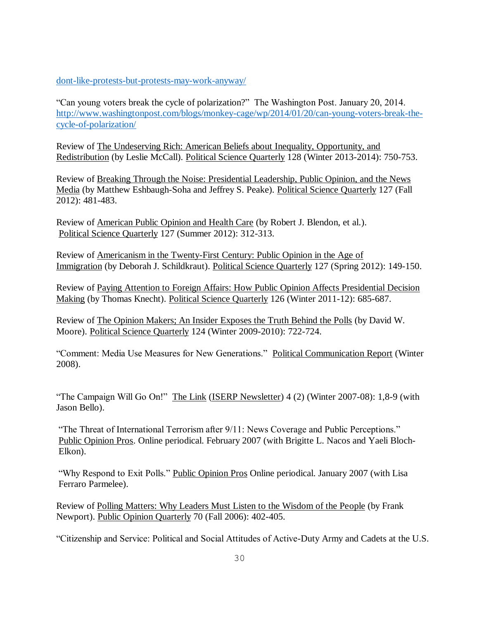[dont-like-protests-but-protests-may-work-anyway/](http://www.washingtonpost.com/blogs/monkey-cage/wp/2014/08/25/americans-dont-like-protests-but-protests-may-work-anyway/)

"Can young voters break the cycle of polarization?" The Washington Post. January 20, 2014. [http://www.washingtonpost.com/blogs/monkey-cage/wp/2014/01/20/can-young-voters-break-the](http://www.washingtonpost.com/blogs/monkey-cage/wp/2014/01/20/can-young-voters-break-the-cycle-of-polarization/)[cycle-of-polarization/](http://www.washingtonpost.com/blogs/monkey-cage/wp/2014/01/20/can-young-voters-break-the-cycle-of-polarization/)

Review of The Undeserving Rich: American Beliefs about Inequality, Opportunity, and Redistribution (by Leslie McCall). Political Science Quarterly 128 (Winter 2013-2014): 750-753.

Review of Breaking Through the Noise: Presidential Leadership, Public Opinion, and the News Media (by Matthew Eshbaugh-Soha and Jeffrey S. Peake). Political Science Quarterly 127 (Fall 2012): 481-483.

Review of American Public Opinion and Health Care (by Robert J. Blendon, et al.). Political Science Quarterly 127 (Summer 2012): 312-313.

Review of Americanism in the Twenty-First Century: Public Opinion in the Age of Immigration (by Deborah J. Schildkraut). Political Science Quarterly 127 (Spring 2012): 149-150.

Review of Paying Attention to Foreign Affairs: How Public Opinion Affects Presidential Decision Making (by Thomas Knecht). Political Science Quarterly 126 (Winter 2011-12): 685-687.

Review of The Opinion Makers; An Insider Exposes the Truth Behind the Polls (by David W. Moore). Political Science Quarterly 124 (Winter 2009-2010): 722-724.

"Comment: Media Use Measures for New Generations." Political Communication Report (Winter 2008).

"The Campaign Will Go On!" The Link (ISERP Newsletter) 4 (2) (Winter 2007-08): 1,8-9 (with Jason Bello).

"The Threat of International Terrorism after 9/11: News Coverage and Public Perceptions." Public Opinion Pros. Online periodical. February 2007 (with Brigitte L. Nacos and Yaeli Bloch-Elkon).

"Why Respond to Exit Polls." Public Opinion Pros Online periodical. January 2007 (with Lisa Ferraro Parmelee).

Review of Polling Matters: Why Leaders Must Listen to the Wisdom of the People (by Frank Newport). Public Opinion Quarterly 70 (Fall 2006): 402-405.

"Citizenship and Service: Political and Social Attitudes of Active-Duty Army and Cadets at the U.S.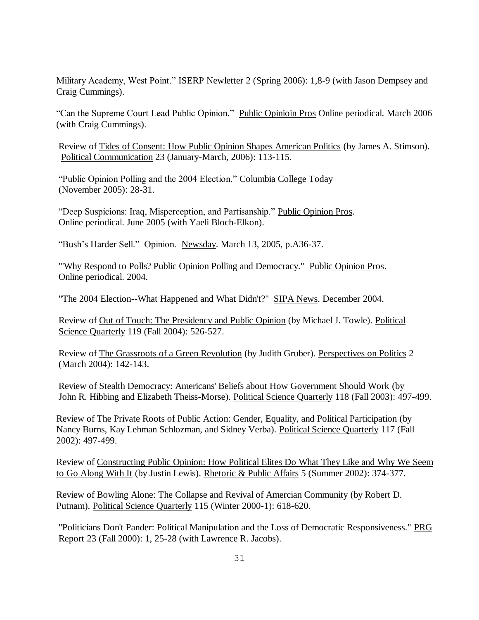Military Academy, West Point." **ISERP Newletter** 2 (Spring 2006): 1,8-9 (with Jason Dempsey and Craig Cummings).

"Can the Supreme Court Lead Public Opinion." Public Opinioin Pros Online periodical. March 2006 (with Craig Cummings).

Review of Tides of Consent: How Public Opinion Shapes American Politics (by James A. Stimson). Political Communication 23 (January-March, 2006): 113-115.

"Public Opinion Polling and the 2004 Election." Columbia College Today (November 2005): 28-31.

"Deep Suspicions: Iraq, Misperception, and Partisanship." Public Opinion Pros. Online periodical. June 2005 (with Yaeli Bloch-Elkon).

"Bush's Harder Sell." Opinion. Newsday. March 13, 2005, p.A36-37.

"'Why Respond to Polls? Public Opinion Polling and Democracy." Public Opinion Pros. Online periodical. 2004.

"The 2004 Election--What Happened and What Didn't?" SIPA News. December 2004.

Review of Out of Touch: The Presidency and Public Opinion (by Michael J. Towle). Political Science Quarterly 119 (Fall 2004): 526-527.

Review of The Grassroots of a Green Revolution (by Judith Gruber). Perspectives on Politics 2 (March 2004): 142-143.

Review of Stealth Democracy: Americans' Beliefs about How Government Should Work (by John R. Hibbing and Elizabeth Theiss-Morse). Political Science Quarterly 118 (Fall 2003): 497-499.

Review of The Private Roots of Public Action: Gender, Equality, and Political Participation (by Nancy Burns, Kay Lehman Schlozman, and Sidney Verba). Political Science Quarterly 117 (Fall 2002): 497-499.

Review of Constructing Public Opinion: How Political Elites Do What They Like and Why We Seem to Go Along With It (by Justin Lewis). Rhetoric & Public Affairs 5 (Summer 2002): 374-377.

Review of Bowling Alone: The Collapse and Revival of Amercian Community (by Robert D. Putnam). Political Science Quarterly 115 (Winter 2000-1): 618-620.

"Politicians Don't Pander: Political Manipulation and the Loss of Democratic Responsiveness." PRG Report 23 (Fall 2000): 1, 25-28 (with Lawrence R. Jacobs).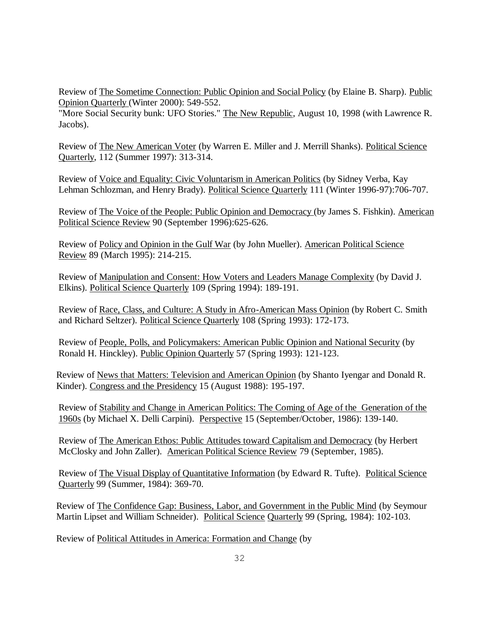Review of The Sometime Connection: Public Opinion and Social Policy (by Elaine B. Sharp). Public Opinion Quarterly (Winter 2000): 549-552.

"More Social Security bunk: UFO Stories." The New Republic, August 10, 1998 (with Lawrence R. Jacobs).

Review of The New American Voter (by Warren E. Miller and J. Merrill Shanks). Political Science Quarterly, 112 (Summer 1997): 313-314.

Review of Voice and Equality: Civic Voluntarism in American Politics (by Sidney Verba, Kay Lehman Schlozman, and Henry Brady). Political Science Quarterly 111 (Winter 1996-97):706-707.

Review of The Voice of the People: Public Opinion and Democracy (by James S. Fishkin). American Political Science Review 90 (September 1996):625-626.

Review of Policy and Opinion in the Gulf War (by John Mueller). American Political Science Review 89 (March 1995): 214-215.

Review of Manipulation and Consent: How Voters and Leaders Manage Complexity (by David J. Elkins). Political Science Quarterly 109 (Spring 1994): 189-191.

Review of Race, Class, and Culture: A Study in Afro-American Mass Opinion (by Robert C. Smith and Richard Seltzer). Political Science Quarterly 108 (Spring 1993): 172-173.

Review of People, Polls, and Policymakers: American Public Opinion and National Security (by Ronald H. Hinckley). Public Opinion Quarterly 57 (Spring 1993): 121-123.

Review of News that Matters: Television and American Opinion (by Shanto Iyengar and Donald R. Kinder). Congress and the Presidency 15 (August 1988): 195-197.

Review of Stability and Change in American Politics: The Coming of Age of the Generation of the 1960s (by Michael X. Delli Carpini). Perspective 15 (September/October, 1986): 139-140.

Review of The American Ethos: Public Attitudes toward Capitalism and Democracy (by Herbert McClosky and John Zaller). American Political Science Review 79 (September, 1985).

Review of The Visual Display of Quantitative Information (by Edward R. Tufte). Political Science Quarterly 99 (Summer, 1984): 369-70.

Review of The Confidence Gap: Business, Labor, and Government in the Public Mind (by Seymour Martin Lipset and William Schneider). Political Science Quarterly 99 (Spring, 1984): 102-103.

Review of Political Attitudes in America: Formation and Change (by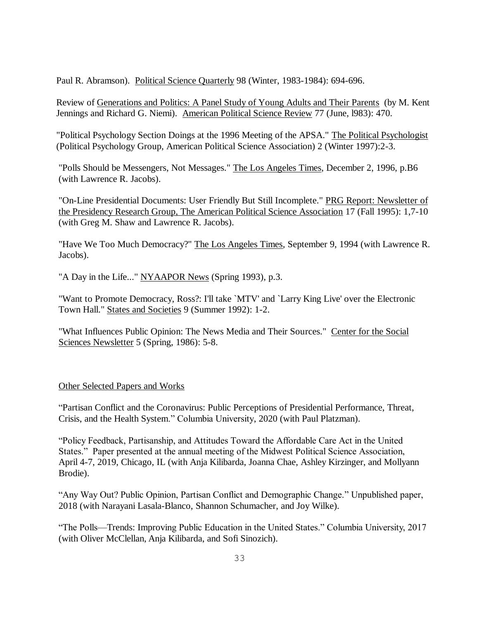Paul R. Abramson). Political Science Quarterly 98 (Winter, 1983-1984): 694-696.

Review of Generations and Politics: A Panel Study of Young Adults and Their Parents (by M. Kent Jennings and Richard G. Niemi). American Political Science Review 77 (June, l983): 470.

"Political Psychology Section Doings at the 1996 Meeting of the APSA." The Political Psychologist (Political Psychology Group, American Political Science Association) 2 (Winter 1997):2-3.

"Polls Should be Messengers, Not Messages." The Los Angeles Times, December 2, 1996, p.B6 (with Lawrence R. Jacobs).

"On-Line Presidential Documents: User Friendly But Still Incomplete." PRG Report: Newsletter of the Presidency Research Group, The American Political Science Association 17 (Fall 1995): 1,7-10 (with Greg M. Shaw and Lawrence R. Jacobs).

"Have We Too Much Democracy?" The Los Angeles Times, September 9, 1994 (with Lawrence R. Jacobs).

"A Day in the Life..." NYAAPOR News (Spring 1993), p.3.

"Want to Promote Democracy, Ross?: I'll take `MTV' and `Larry King Live' over the Electronic Town Hall." States and Societies 9 (Summer 1992): 1-2.

"What Influences Public Opinion: The News Media and Their Sources." Center for the Social Sciences Newsletter 5 (Spring, 1986): 5-8.

Other Selected Papers and Works

"Partisan Conflict and the Coronavirus: Public Perceptions of Presidential Performance, Threat, Crisis, and the Health System." Columbia University, 2020 (with Paul Platzman).

"Policy Feedback, Partisanship, and Attitudes Toward the Affordable Care Act in the United States." Paper presented at the annual meeting of the Midwest Political Science Association, April 4-7, 2019, Chicago, IL (with Anja Kilibarda, Joanna Chae, Ashley Kirzinger, and Mollyann Brodie).

"Any Way Out? Public Opinion, Partisan Conflict and Demographic Change." Unpublished paper, 2018 (with Narayani Lasala-Blanco, Shannon Schumacher, and Joy Wilke).

"The Polls—Trends: Improving Public Education in the United States." Columbia University, 2017 (with Oliver McClellan, Anja Kilibarda, and Sofi Sinozich).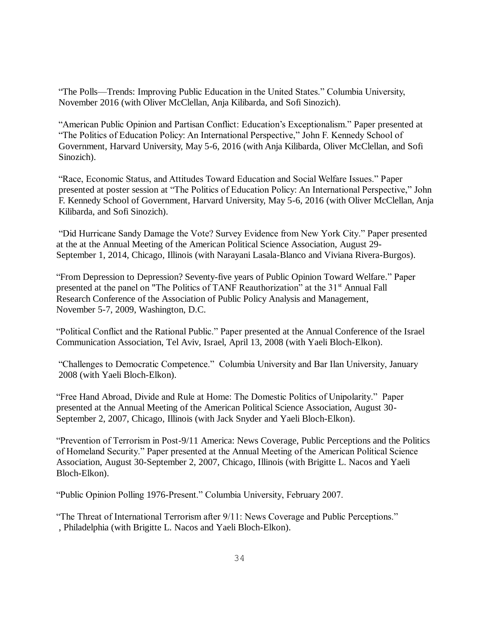"The Polls—Trends: Improving Public Education in the United States." Columbia University, November 2016 (with Oliver McClellan, Anja Kilibarda, and Sofi Sinozich).

"American Public Opinion and Partisan Conflict: Education's Exceptionalism." Paper presented at "The Politics of Education Policy: An International Perspective," John F. Kennedy School of Government, Harvard University, May 5-6, 2016 (with Anja Kilibarda, Oliver McClellan, and Sofi Sinozich).

"Race, Economic Status, and Attitudes Toward Education and Social Welfare Issues." Paper presented at poster session at "The Politics of Education Policy: An International Perspective," John F. Kennedy School of Government, Harvard University, May 5-6, 2016 (with Oliver McClellan, Anja Kilibarda, and Sofi Sinozich).

"Did Hurricane Sandy Damage the Vote? Survey Evidence from New York City." Paper presented at the at the Annual Meeting of the American Political Science Association, August 29- September 1, 2014, Chicago, Illinois (with Narayani Lasala-Blanco and Viviana Rivera-Burgos).

"From Depression to Depression? Seventy-five years of Public Opinion Toward Welfare." Paper presented at the panel on "The Politics of TANF Reauthorization" at the 31<sup>st</sup> Annual Fall Research Conference of the Association of Public Policy Analysis and Management, November 5-7, 2009, Washington, D.C.

"Political Conflict and the Rational Public." Paper presented at the Annual Conference of the Israel Communication Association, Tel Aviv, Israel, April 13, 2008 (with Yaeli Bloch-Elkon).

"Challenges to Democratic Competence." Columbia University and Bar Ilan University, January 2008 (with Yaeli Bloch-Elkon).

"Free Hand Abroad, Divide and Rule at Home: The Domestic Politics of Unipolarity." Paper presented at the Annual Meeting of the American Political Science Association, August 30- September 2, 2007, Chicago, Illinois (with Jack Snyder and Yaeli Bloch-Elkon).

"Prevention of Terrorism in Post-9/11 America: News Coverage, Public Perceptions and the Politics of Homeland Security." Paper presented at the Annual Meeting of the American Political Science Association, August 30-September 2, 2007, Chicago, Illinois (with Brigitte L. Nacos and Yaeli Bloch-Elkon).

"Public Opinion Polling 1976-Present." Columbia University, February 2007.

"The Threat of International Terrorism after 9/11: News Coverage and Public Perceptions." , Philadelphia (with Brigitte L. Nacos and Yaeli Bloch-Elkon).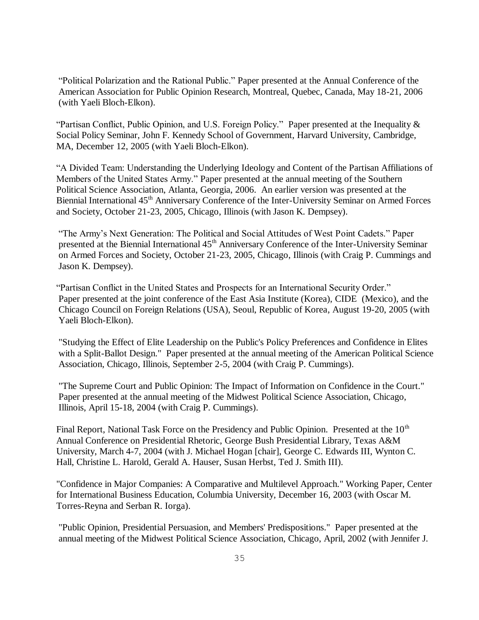"Political Polarization and the Rational Public." Paper presented at the Annual Conference of the American Association for Public Opinion Research, Montreal, Quebec, Canada, May 18-21, 2006 (with Yaeli Bloch-Elkon).

"Partisan Conflict, Public Opinion, and U.S. Foreign Policy." Paper presented at the Inequality & Social Policy Seminar, John F. Kennedy School of Government, Harvard University, Cambridge, MA, December 12, 2005 (with Yaeli Bloch-Elkon).

"A Divided Team: Understanding the Underlying Ideology and Content of the Partisan Affiliations of Members of the United States Army." Paper presented at the annual meeting of the Southern Political Science Association, Atlanta, Georgia, 2006. An earlier version was presented at the Biennial International 45<sup>th</sup> Anniversary Conference of the Inter-University Seminar on Armed Forces and Society, October 21-23, 2005, Chicago, Illinois (with Jason K. Dempsey).

"The Army's Next Generation: The Political and Social Attitudes of West Point Cadets." Paper presented at the Biennial International 45<sup>th</sup> Anniversary Conference of the Inter-University Seminar on Armed Forces and Society, October 21-23, 2005, Chicago, Illinois (with Craig P. Cummings and Jason K. Dempsey).

"Partisan Conflict in the United States and Prospects for an International Security Order." Paper presented at the joint conference of the East Asia Institute (Korea), CIDE (Mexico), and the Chicago Council on Foreign Relations (USA), Seoul, Republic of Korea, August 19-20, 2005 (with Yaeli Bloch-Elkon).

"Studying the Effect of Elite Leadership on the Public's Policy Preferences and Confidence in Elites with a Split-Ballot Design." Paper presented at the annual meeting of the American Political Science Association, Chicago, Illinois, September 2-5, 2004 (with Craig P. Cummings).

"The Supreme Court and Public Opinion: The Impact of Information on Confidence in the Court." Paper presented at the annual meeting of the Midwest Political Science Association, Chicago, Illinois, April 15-18, 2004 (with Craig P. Cummings).

Final Report, National Task Force on the Presidency and Public Opinion. Presented at the  $10<sup>th</sup>$ Annual Conference on Presidential Rhetoric, George Bush Presidential Library, Texas A&M University, March 4-7, 2004 (with J. Michael Hogan [chair], George C. Edwards III, Wynton C. Hall, Christine L. Harold, Gerald A. Hauser, Susan Herbst, Ted J. Smith III).

"Confidence in Major Companies: A Comparative and Multilevel Approach." Working Paper, Center for International Business Education, Columbia University, December 16, 2003 (with Oscar M. Torres-Reyna and Serban R. Iorga).

"Public Opinion, Presidential Persuasion, and Members' Predispositions." Paper presented at the annual meeting of the Midwest Political Science Association, Chicago, April, 2002 (with Jennifer J.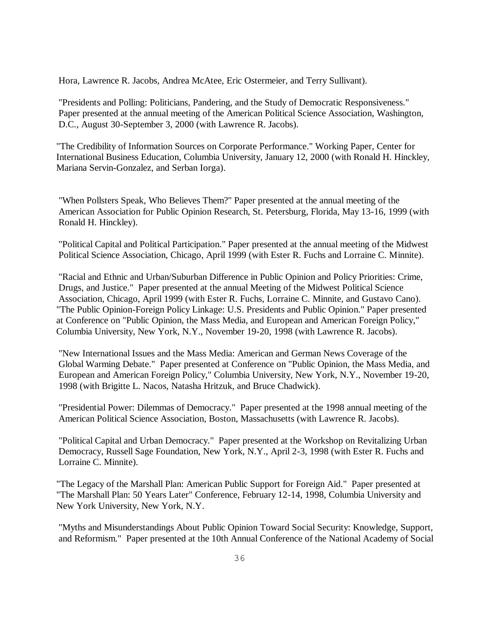Hora, Lawrence R. Jacobs, Andrea McAtee, Eric Ostermeier, and Terry Sullivant).

"Presidents and Polling: Politicians, Pandering, and the Study of Democratic Responsiveness." Paper presented at the annual meeting of the American Political Science Association, Washington, D.C., August 30-September 3, 2000 (with Lawrence R. Jacobs).

"The Credibility of Information Sources on Corporate Performance." Working Paper, Center for International Business Education, Columbia University, January 12, 2000 (with Ronald H. Hinckley, Mariana Servin-Gonzalez, and Serban Iorga).

"When Pollsters Speak, Who Believes Them?" Paper presented at the annual meeting of the American Association for Public Opinion Research, St. Petersburg, Florida, May 13-16, 1999 (with Ronald H. Hinckley).

"Political Capital and Political Participation." Paper presented at the annual meeting of the Midwest Political Science Association, Chicago, April 1999 (with Ester R. Fuchs and Lorraine C. Minnite).

"Racial and Ethnic and Urban/Suburban Difference in Public Opinion and Policy Priorities: Crime, Drugs, and Justice." Paper presented at the annual Meeting of the Midwest Political Science Association, Chicago, April 1999 (with Ester R. Fuchs, Lorraine C. Minnite, and Gustavo Cano). "The Public Opinion-Foreign Policy Linkage: U.S. Presidents and Public Opinion." Paper presented at Conference on "Public Opinion, the Mass Media, and European and American Foreign Policy," Columbia University, New York, N.Y., November 19-20, 1998 (with Lawrence R. Jacobs).

"New International Issues and the Mass Media: American and German News Coverage of the Global Warming Debate." Paper presented at Conference on "Public Opinion, the Mass Media, and European and American Foreign Policy," Columbia University, New York, N.Y., November 19-20, 1998 (with Brigitte L. Nacos, Natasha Hritzuk, and Bruce Chadwick).

"Presidential Power: Dilemmas of Democracy." Paper presented at the 1998 annual meeting of the American Political Science Association, Boston, Massachusetts (with Lawrence R. Jacobs).

"Political Capital and Urban Democracy." Paper presented at the Workshop on Revitalizing Urban Democracy, Russell Sage Foundation, New York, N.Y., April 2-3, 1998 (with Ester R. Fuchs and Lorraine C. Minnite).

"The Legacy of the Marshall Plan: American Public Support for Foreign Aid." Paper presented at "The Marshall Plan: 50 Years Later" Conference, February 12-14, 1998, Columbia University and New York University, New York, N.Y.

"Myths and Misunderstandings About Public Opinion Toward Social Security: Knowledge, Support, and Reformism." Paper presented at the 10th Annual Conference of the National Academy of Social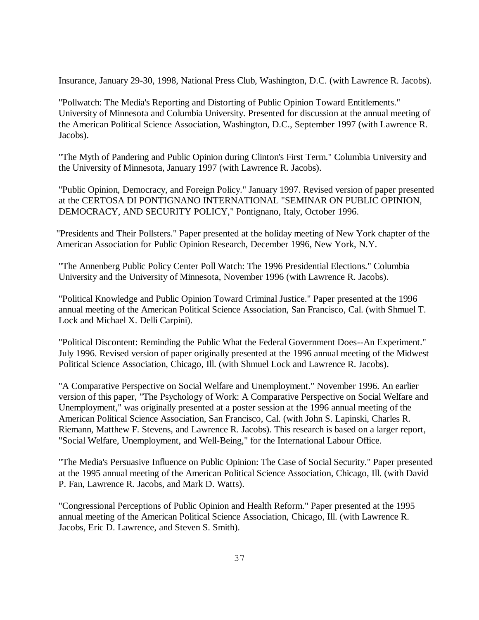Insurance, January 29-30, 1998, National Press Club, Washington, D.C. (with Lawrence R. Jacobs).

"Pollwatch: The Media's Reporting and Distorting of Public Opinion Toward Entitlements." University of Minnesota and Columbia University. Presented for discussion at the annual meeting of the American Political Science Association, Washington, D.C., September 1997 (with Lawrence R. Jacobs).

"The Myth of Pandering and Public Opinion during Clinton's First Term." Columbia University and the University of Minnesota, January 1997 (with Lawrence R. Jacobs).

"Public Opinion, Democracy, and Foreign Policy." January 1997. Revised version of paper presented at the CERTOSA DI PONTIGNANO INTERNATIONAL "SEMINAR ON PUBLIC OPINION, DEMOCRACY, AND SECURITY POLICY," Pontignano, Italy, October 1996.

"Presidents and Their Pollsters." Paper presented at the holiday meeting of New York chapter of the American Association for Public Opinion Research, December 1996, New York, N.Y.

"The Annenberg Public Policy Center Poll Watch: The 1996 Presidential Elections." Columbia University and the University of Minnesota, November 1996 (with Lawrence R. Jacobs).

"Political Knowledge and Public Opinion Toward Criminal Justice." Paper presented at the 1996 annual meeting of the American Political Science Association, San Francisco, Cal. (with Shmuel T. Lock and Michael X. Delli Carpini).

"Political Discontent: Reminding the Public What the Federal Government Does--An Experiment." July 1996. Revised version of paper originally presented at the 1996 annual meeting of the Midwest Political Science Association, Chicago, Ill. (with Shmuel Lock and Lawrence R. Jacobs).

"A Comparative Perspective on Social Welfare and Unemployment." November 1996. An earlier version of this paper, "The Psychology of Work: A Comparative Perspective on Social Welfare and Unemployment," was originally presented at a poster session at the 1996 annual meeting of the American Political Science Association, San Francisco, Cal. (with John S. Lapinski, Charles R. Riemann, Matthew F. Stevens, and Lawrence R. Jacobs). This research is based on a larger report, "Social Welfare, Unemployment, and Well-Being," for the International Labour Office.

"The Media's Persuasive Influence on Public Opinion: The Case of Social Security." Paper presented at the 1995 annual meeting of the American Political Science Association, Chicago, Ill. (with David P. Fan, Lawrence R. Jacobs, and Mark D. Watts).

"Congressional Perceptions of Public Opinion and Health Reform." Paper presented at the 1995 annual meeting of the American Political Science Association, Chicago, Ill. (with Lawrence R. Jacobs, Eric D. Lawrence, and Steven S. Smith).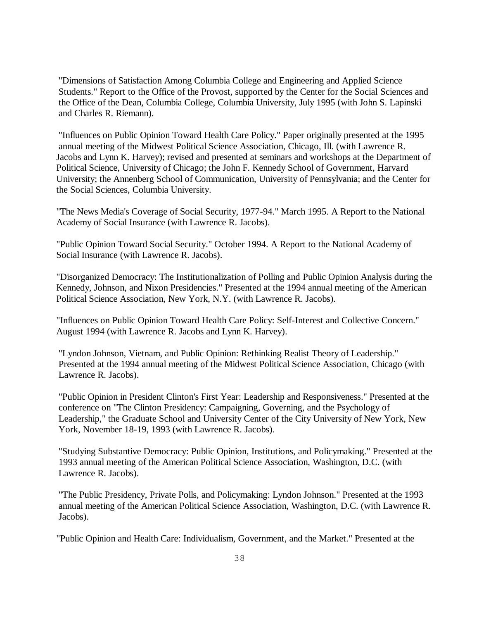"Dimensions of Satisfaction Among Columbia College and Engineering and Applied Science Students." Report to the Office of the Provost, supported by the Center for the Social Sciences and the Office of the Dean, Columbia College, Columbia University, July 1995 (with John S. Lapinski and Charles R. Riemann).

"Influences on Public Opinion Toward Health Care Policy." Paper originally presented at the 1995 annual meeting of the Midwest Political Science Association, Chicago, Ill. (with Lawrence R. Jacobs and Lynn K. Harvey); revised and presented at seminars and workshops at the Department of Political Science, University of Chicago; the John F. Kennedy School of Government, Harvard University; the Annenberg School of Communication, University of Pennsylvania; and the Center for the Social Sciences, Columbia University.

"The News Media's Coverage of Social Security, 1977-94." March 1995. A Report to the National Academy of Social Insurance (with Lawrence R. Jacobs).

"Public Opinion Toward Social Security." October 1994. A Report to the National Academy of Social Insurance (with Lawrence R. Jacobs).

"Disorganized Democracy: The Institutionalization of Polling and Public Opinion Analysis during the Kennedy, Johnson, and Nixon Presidencies." Presented at the 1994 annual meeting of the American Political Science Association, New York, N.Y. (with Lawrence R. Jacobs).

"Influences on Public Opinion Toward Health Care Policy: Self-Interest and Collective Concern." August 1994 (with Lawrence R. Jacobs and Lynn K. Harvey).

"Lyndon Johnson, Vietnam, and Public Opinion: Rethinking Realist Theory of Leadership." Presented at the 1994 annual meeting of the Midwest Political Science Association, Chicago (with Lawrence R. Jacobs).

"Public Opinion in President Clinton's First Year: Leadership and Responsiveness." Presented at the conference on "The Clinton Presidency: Campaigning, Governing, and the Psychology of Leadership," the Graduate School and University Center of the City University of New York, New York, November 18-19, 1993 (with Lawrence R. Jacobs).

"Studying Substantive Democracy: Public Opinion, Institutions, and Policymaking." Presented at the 1993 annual meeting of the American Political Science Association, Washington, D.C. (with Lawrence R. Jacobs).

"The Public Presidency, Private Polls, and Policymaking: Lyndon Johnson." Presented at the 1993 annual meeting of the American Political Science Association, Washington, D.C. (with Lawrence R. Jacobs).

"Public Opinion and Health Care: Individualism, Government, and the Market." Presented at the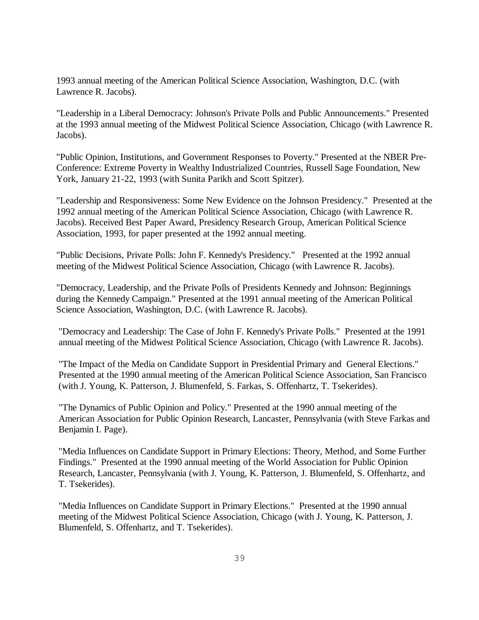1993 annual meeting of the American Political Science Association, Washington, D.C. (with Lawrence R. Jacobs).

"Leadership in a Liberal Democracy: Johnson's Private Polls and Public Announcements." Presented at the 1993 annual meeting of the Midwest Political Science Association, Chicago (with Lawrence R. Jacobs).

"Public Opinion, Institutions, and Government Responses to Poverty." Presented at the NBER Pre-Conference: Extreme Poverty in Wealthy Industrialized Countries, Russell Sage Foundation, New York, January 21-22, 1993 (with Sunita Parikh and Scott Spitzer).

"Leadership and Responsiveness: Some New Evidence on the Johnson Presidency." Presented at the 1992 annual meeting of the American Political Science Association, Chicago (with Lawrence R. Jacobs). Received Best Paper Award, Presidency Research Group, American Political Science Association, 1993, for paper presented at the 1992 annual meeting.

"Public Decisions, Private Polls: John F. Kennedy's Presidency." Presented at the 1992 annual meeting of the Midwest Political Science Association, Chicago (with Lawrence R. Jacobs).

"Democracy, Leadership, and the Private Polls of Presidents Kennedy and Johnson: Beginnings during the Kennedy Campaign." Presented at the 1991 annual meeting of the American Political Science Association, Washington, D.C. (with Lawrence R. Jacobs).

"Democracy and Leadership: The Case of John F. Kennedy's Private Polls." Presented at the 1991 annual meeting of the Midwest Political Science Association, Chicago (with Lawrence R. Jacobs).

"The Impact of the Media on Candidate Support in Presidential Primary and General Elections." Presented at the 1990 annual meeting of the American Political Science Association, San Francisco (with J. Young, K. Patterson, J. Blumenfeld, S. Farkas, S. Offenhartz, T. Tsekerides).

"The Dynamics of Public Opinion and Policy." Presented at the 1990 annual meeting of the American Association for Public Opinion Research, Lancaster, Pennsylvania (with Steve Farkas and Benjamin I. Page).

"Media Influences on Candidate Support in Primary Elections: Theory, Method, and Some Further Findings." Presented at the 1990 annual meeting of the World Association for Public Opinion Research, Lancaster, Pennsylvania (with J. Young, K. Patterson, J. Blumenfeld, S. Offenhartz, and T. Tsekerides).

"Media Influences on Candidate Support in Primary Elections." Presented at the 1990 annual meeting of the Midwest Political Science Association, Chicago (with J. Young, K. Patterson, J. Blumenfeld, S. Offenhartz, and T. Tsekerides).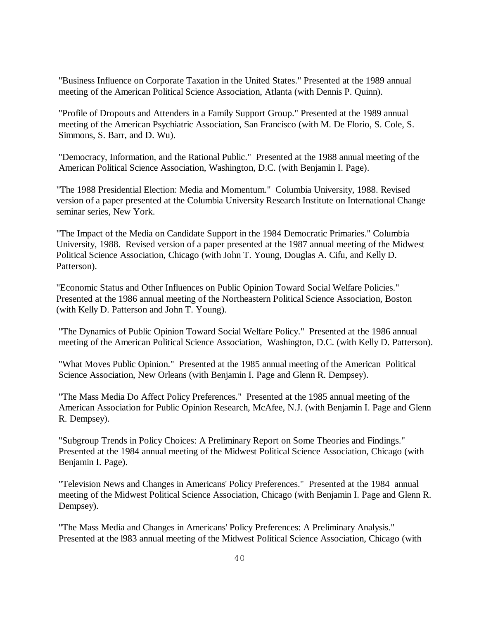"Business Influence on Corporate Taxation in the United States." Presented at the 1989 annual meeting of the American Political Science Association, Atlanta (with Dennis P. Quinn).

"Profile of Dropouts and Attenders in a Family Support Group." Presented at the 1989 annual meeting of the American Psychiatric Association, San Francisco (with M. De Florio, S. Cole, S. Simmons, S. Barr, and D. Wu).

"Democracy, Information, and the Rational Public." Presented at the 1988 annual meeting of the American Political Science Association, Washington, D.C. (with Benjamin I. Page).

"The 1988 Presidential Election: Media and Momentum." Columbia University, 1988. Revised version of a paper presented at the Columbia University Research Institute on International Change seminar series, New York.

"The Impact of the Media on Candidate Support in the 1984 Democratic Primaries." Columbia University, 1988. Revised version of a paper presented at the 1987 annual meeting of the Midwest Political Science Association, Chicago (with John T. Young, Douglas A. Cifu, and Kelly D. Patterson).

"Economic Status and Other Influences on Public Opinion Toward Social Welfare Policies." Presented at the 1986 annual meeting of the Northeastern Political Science Association, Boston (with Kelly D. Patterson and John T. Young).

"The Dynamics of Public Opinion Toward Social Welfare Policy." Presented at the 1986 annual meeting of the American Political Science Association, Washington, D.C. (with Kelly D. Patterson).

"What Moves Public Opinion." Presented at the 1985 annual meeting of the American Political Science Association, New Orleans (with Benjamin I. Page and Glenn R. Dempsey).

"The Mass Media Do Affect Policy Preferences." Presented at the 1985 annual meeting of the American Association for Public Opinion Research, McAfee, N.J. (with Benjamin I. Page and Glenn R. Dempsey).

"Subgroup Trends in Policy Choices: A Preliminary Report on Some Theories and Findings." Presented at the 1984 annual meeting of the Midwest Political Science Association, Chicago (with Benjamin I. Page).

"Television News and Changes in Americans' Policy Preferences." Presented at the 1984 annual meeting of the Midwest Political Science Association, Chicago (with Benjamin I. Page and Glenn R. Dempsey).

"The Mass Media and Changes in Americans' Policy Preferences: A Preliminary Analysis." Presented at the l983 annual meeting of the Midwest Political Science Association, Chicago (with